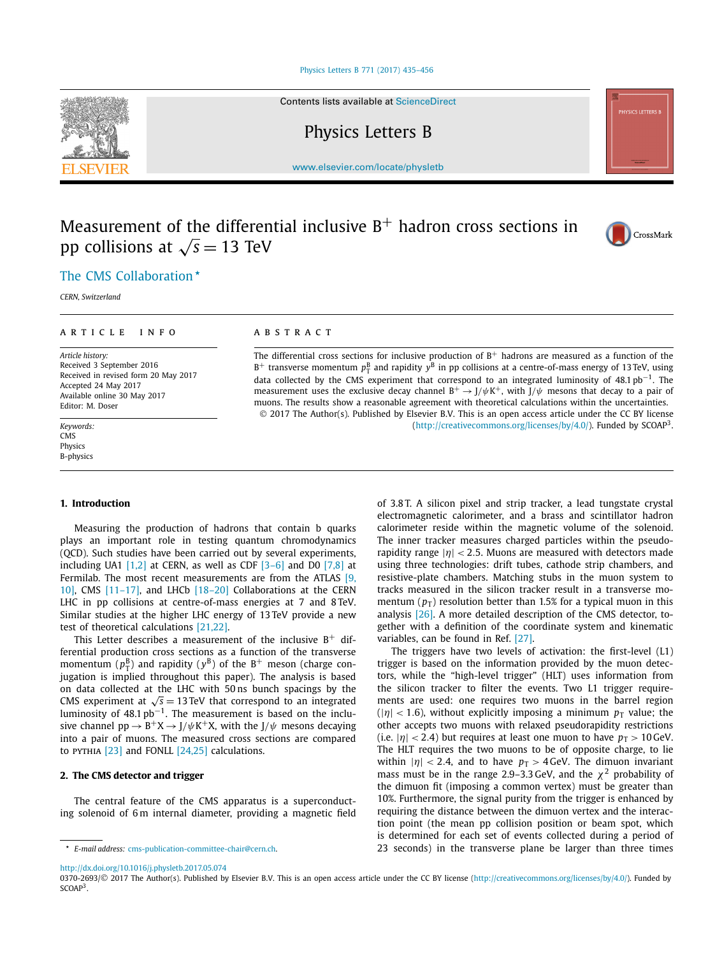#### [Physics Letters B 771 \(2017\) 435–456](http://dx.doi.org/10.1016/j.physletb.2017.05.074)

Contents lists available at [ScienceDirect](http://www.ScienceDirect.com/)

Physics Letters B

[www.elsevier.com/locate/physletb](http://www.elsevier.com/locate/physletb)

# Measurement of the differential inclusive  $B^+$  hadron cross sections in pp collisions at  $\sqrt{s}$  = 13 TeV



# The CMS [Collaboration](#page-5-0)<sup>\*</sup>

*CERN, Switzerland*

#### A R T I C L E I N F O A B S T R A C T

*Article history:* Received 3 September 2016 Received in revised form 20 May 2017 Accepted 24 May 2017 Available online 30 May 2017 Editor: M. Doser

*Keywords:* **CMS** Physics B-physics

#### **1. Introduction**

Measuring the production of hadrons that contain b quarks plays an important role in testing quantum chromodynamics (QCD). Such studies have been carried out by several experiments, including UA1  $[1,2]$  at CERN, as well as CDF  $[3-6]$  and D0  $[7,8]$  at Fermilab. The most recent measurements are from the ATLAS [\[9,](#page-5-0) [10\],](#page-5-0) CMS [\[11–17\],](#page-5-0) and LHCb [\[18–20\]](#page-5-0) Collaborations at the CERN LHC in pp collisions at centre-of-mass energies at 7 and 8 TeV. Similar studies at the higher LHC energy of 13 TeV provide a new test of theoretical calculations [\[21,22\].](#page-5-0)

This Letter describes a measurement of the inclusive  $B^+$  differential production cross sections as a function of the transverse momentum  $(p_{\text{T}}^{\text{B}})$  and rapidity  $(y^{\text{B}})$  of the B<sup>+</sup> meson (charge conjugation is implied throughout this paper). The analysis is based on data collected at the LHC with 50 ns bunch spacings by the CMS experiment at  $\sqrt{s}$  = 13 TeV that correspond to an integrated luminosity of  $48.1$  pb<sup>-1</sup>. The measurement is based on the inclusive channel  $pp \rightarrow B^{+}X \rightarrow J/\psi K^{+}X$ , with the  $J/\psi$  mesons decaying into a pair of muons. The measured cross sections are compared to PYTHIA [\[23\]](#page-5-0) and FONLL [\[24,25\]](#page-5-0) calculations.

#### **2. The CMS detector and trigger**

The central feature of the CMS apparatus is a superconducting solenoid of 6 m internal diameter, providing a magnetic field



The differential cross sections for inclusive production of  $B^+$  hadrons are measured as a function of the  $B^+$  transverse momentum  $p_T^B$  and rapidity  $y^B$  in pp collisions at a centre-of-mass energy of 13 TeV, using data collected by the CMS experiment that correspond to an integrated luminosity of 48.1 pb<sup>-1</sup>. The measurement uses the exclusive decay channel  $B^+ \rightarrow J/\psi K^+$ , with  $J/\psi$  mesons that decay to a pair of muons. The results show a reasonable agreement with theoretical calculations within the uncertainties. © 2017 The Author(s). Published by Elsevier B.V. This is an open access article under the CC BY license [\(http://creativecommons.org/licenses/by/4.0/\)](http://creativecommons.org/licenses/by/4.0/). Funded by SCOAP3.

> of 3.8 T. A silicon pixel and strip tracker, a lead tungstate crystal electromagnetic calorimeter, and a brass and scintillator hadron calorimeter reside within the magnetic volume of the solenoid. The inner tracker measures charged particles within the pseudorapidity range |*η*| *<* <sup>2</sup>*.*5. Muons are measured with detectors made using three technologies: drift tubes, cathode strip chambers, and resistive-plate chambers. Matching stubs in the muon system to tracks measured in the silicon tracker result in a transverse momentum  $(p_T)$  resolution better than 1.5% for a typical muon in this analysis [\[26\].](#page-5-0) A more detailed description of the CMS detector, together with a definition of the coordinate system and kinematic variables, can be found in Ref. [\[27\].](#page-5-0)

> The triggers have two levels of activation: the first-level (L1) trigger is based on the information provided by the muon detectors, while the "high-level trigger" (HLT) uses information from the silicon tracker to filter the events. Two L1 trigger requirements are used: one requires two muons in the barrel region  $(|\eta| < 1.6)$ , without explicitly imposing a minimum  $p_T$  value; the other accepts two muons with relaxed pseudorapidity restrictions (i.e.  $|\eta|$  < 2.4) but requires at least one muon to have  $p_T > 10$  GeV. The HLT requires the two muons to be of opposite charge, to lie within  $|\eta|$  < 2.4, and to have  $p_T > 4$  GeV. The dimuon invariant mass must be in the range 2.9–3.3 GeV, and the  $\chi^2$  probability of the dimuon fit (imposing a common vertex) must be greater than 10%. Furthermore, the signal purity from the trigger is enhanced by requiring the distance between the dimuon vertex and the interaction point (the mean pp collision position or beam spot, which is determined for each set of events collected during a period of 23 seconds) in the transverse plane be larger than three times



*<sup>-</sup> E-mail address:* [cms-publication-committee-chair@cern.ch](mailto:cms-publication-committee-chair@cern.ch).

<http://dx.doi.org/10.1016/j.physletb.2017.05.074>

<sup>0370-2693/© 2017</sup> The Author(s). Published by Elsevier B.V. This is an open access article under the CC BY license [\(http://creativecommons.org/licenses/by/4.0/](http://creativecommons.org/licenses/by/4.0/)). Funded by SCOAP<sup>3</sup>.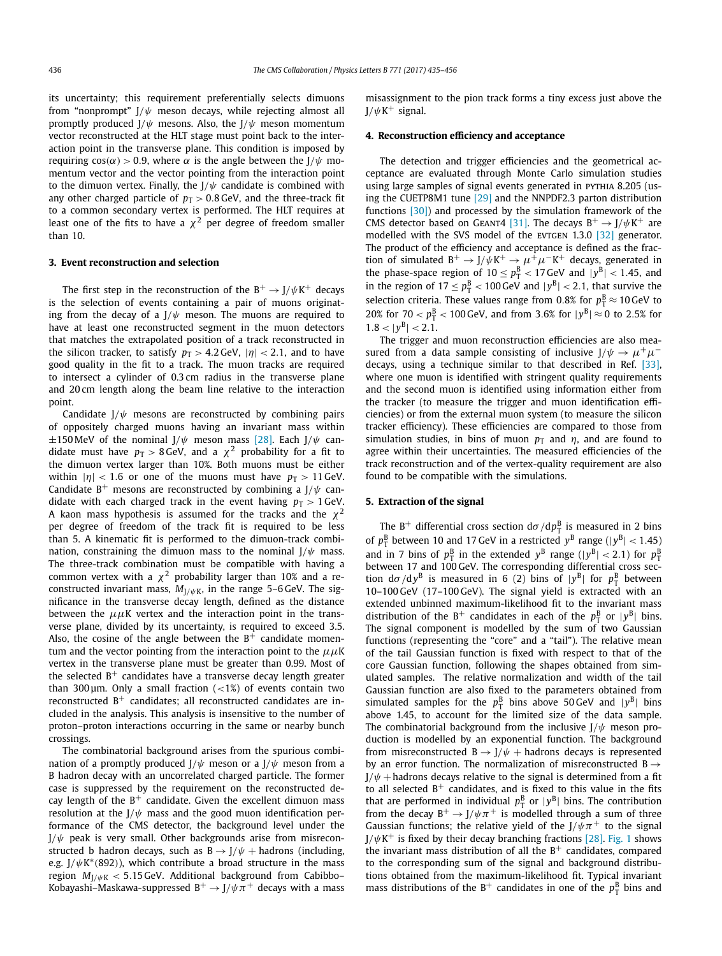its uncertainty; this requirement preferentially selects dimuons from "nonprompt" J*/ψ* meson decays, while rejecting almost all promptly produced J*/ψ* mesons. Also, the J*/ψ* meson momentum vector reconstructed at the HLT stage must point back to the interaction point in the transverse plane. This condition is imposed by requiring  $cos(α) > 0.9$ , where *α* is the angle between the *J*/ $ψ$  momentum vector and the vector pointing from the interaction point to the dimuon vertex. Finally, the  $J/\psi$  candidate is combined with any other charged particle of  $p_T > 0.8$  GeV, and the three-track fit to a common secondary vertex is performed. The HLT requires at least one of the fits to have a  $\chi^2$  per degree of freedom smaller than 10.

#### **3. Event reconstruction and selection**

The first step in the reconstruction of the  $B^+ \rightarrow J/\psi K^+$  decays is the selection of events containing a pair of muons originating from the decay of a  $J/\psi$  meson. The muons are required to have at least one reconstructed segment in the muon detectors that matches the extrapolated position of a track reconstructed in the silicon tracker, to satisfy  $p_T > 4.2$  GeV,  $|\eta| < 2.1$ , and to have good quality in the fit to a track. The muon tracks are required to intersect a cylinder of 0.3 cm radius in the transverse plane and 20 cm length along the beam line relative to the interaction point.

Candidate J*/ψ* mesons are reconstructed by combining pairs of oppositely charged muons having an invariant mass within  $\pm$ 150 MeV of the nominal J/ $\psi$  meson mass [\[28\].](#page-5-0) Each J/ $\psi$  candidate must have  $p_T > 8$  GeV, and a  $\chi^2$  probability for a fit to the dimuon vertex larger than 10%. Both muons must be either within  $|\eta|$  < 1.6 or one of the muons must have  $p_T > 11$  GeV. Candidate B<sup>+</sup> mesons are reconstructed by combining a  $J/\psi$  candidate with each charged track in the event having  $p_T > 1$  GeV. A kaon mass hypothesis is assumed for the tracks and the *χ*<sup>2</sup> per degree of freedom of the track fit is required to be less than 5. A kinematic fit is performed to the dimuon-track combination, constraining the dimuon mass to the nominal  $J/\psi$  mass. The three-track combination must be compatible with having a common vertex with a  $\chi^2$  probability larger than 10% and a reconstructed invariant mass,  $M_{1/\psi K}$ , in the range 5–6 GeV. The significance in the transverse decay length, defined as the distance between the  $\mu\mu$ K vertex and the interaction point in the transverse plane, divided by its uncertainty, is required to exceed 3.5. Also, the cosine of the angle between the  $B^+$  candidate momentum and the vector pointing from the interaction point to the *μμ*K vertex in the transverse plane must be greater than 0.99. Most of the selected  $B^+$  candidates have a transverse decay length greater than 300 μm. Only a small fraction (*<*1%) of events contain two reconstructed  $B^+$  candidates; all reconstructed candidates are included in the analysis. This analysis is insensitive to the number of proton–proton interactions occurring in the same or nearby bunch crossings.

The combinatorial background arises from the spurious combination of a promptly produced J*/ψ* meson or a J*/ψ* meson from a B hadron decay with an uncorrelated charged particle. The former case is suppressed by the requirement on the reconstructed decay length of the  $B^+$  candidate. Given the excellent dimuon mass resolution at the  $J/\psi$  mass and the good muon identification performance of the CMS detector, the background level under the J*/ψ* peak is very small. Other backgrounds arise from misreconstructed b hadron decays, such as  $B \rightarrow J/\psi$  + hadrons (including, e.g.  $J/\psi K^*(892)$ ), which contribute a broad structure in the mass region *M*J*/ψ*<sup>K</sup> *<* 5*.*15 GeV. Additional background from Cabibbo– Kobayashi–Maskawa-suppressed  $B^+ \rightarrow J/\psi \pi^+$  decays with a mass

misassignment to the pion track forms a tiny excess just above the  $J/\psi K^+$  signal.

#### **4. Reconstruction efficiency and acceptance**

The detection and trigger efficiencies and the geometrical acceptance are evaluated through Monte Carlo simulation studies using large samples of signal events generated in PYTHIA 8.205 (using the CUETP8M1 tune [\[29\]](#page-5-0) and the NNPDF2.3 parton distribution functions [\[30\]\)](#page-5-0) and processed by the simulation framework of the CMS detector based on GEANT4 [\[31\].](#page-5-0) The decays  $B^+ \rightarrow J/\psi K^+$  are modelled with the SVS model of the EVTGEN 1.3.0 [\[32\]](#page-5-0) generator. The product of the efficiency and acceptance is defined as the fraction of simulated  $B^+ \to J/\psi K^+ \to \mu^+ \mu^- K^+$  decays, generated in the phase-space region of  $10 \le p_T^B < 17$  GeV and  $|y^B| < 1.45$ , and in the region of  $17 \le p_T^B < 100$  GeV and  $|y^B| < 2.1$ , that survive the selection criteria. These values range from 0.8% for  $p_T^B \approx 10 \,\text{GeV}$  to  $20\%$  for  $70 < p_{\rm T}^{\rm B} < 100$  GeV, and from 3.6% for  $|y^{\rm B}| \approx 0$  to 2.5% for  $1.8 < |y^B| < 2.1$ .

The trigger and muon reconstruction efficiencies are also measured from a data sample consisting of inclusive  $J/\psi \rightarrow \mu^+\mu^$ decays, using a technique similar to that described in Ref. [\[33\],](#page-5-0) where one muon is identified with stringent quality requirements and the second muon is identified using information either from the tracker (to measure the trigger and muon identification efficiencies) or from the external muon system (to measure the silicon tracker efficiency). These efficiencies are compared to those from simulation studies, in bins of muon  $p<sub>T</sub>$  and  $\eta$ , and are found to agree within their uncertainties. The measured efficiencies of the track reconstruction and of the vertex-quality requirement are also found to be compatible with the simulations.

#### **5. Extraction of the signal**

The B<sup>+</sup> differential cross section d $\sigma/dp_{\rm T}^{\rm B}$  is measured in 2 bins of  $p_T^B$  between 10 and 17 GeV in a restricted  $y^B$  range ( $|y^B|$  < 1.45) and in 7 bins of  $p_T^B$  in the extended  $y^B$  range ( $|y^B| < 2.1$ ) for  $p_T^B$  between 17 and 100 GeV. The corresponding differential cross section  $d\sigma/dy^B$  is measured in 6 (2) bins of  $|y^B|$  for  $p_T^B$  between 10–100 GeV (17–100 GeV). The signal yield is extracted with an extended unbinned maximum-likelihood fit to the invariant mass distribution of the B<sup>+</sup> candidates in each of the  $p_T^B$  or  $|y^B|$  bins. The signal component is modelled by the sum of two Gaussian functions (representing the "core" and a "tail"). The relative mean of the tail Gaussian function is fixed with respect to that of the core Gaussian function, following the shapes obtained from simulated samples. The relative normalization and width of the tail Gaussian function are also fixed to the parameters obtained from simulated samples for the  $p_T^B$  bins above 50 GeV and  $|y^B|$  bins above 1.45, to account for the limited size of the data sample. The combinatorial background from the inclusive J*/ψ* meson production is modelled by an exponential function. The background from misreconstructed  $B \rightarrow J/\psi +$  hadrons decays is represented by an error function. The normalization of misreconstructed  $B \rightarrow$  $J/\psi$  + hadrons decays relative to the signal is determined from a fit to all selected  $B^+$  candidates, and is fixed to this value in the fits that are performed in individual  $p_T^B$  or  $|y^B|$  bins. The contribution from the decay  $B^+ \rightarrow J/\psi \pi^+$  is modelled through a sum of three Gaussian functions; the relative yield of the  $J/\psi \pi^+$  to the signal  $J/\psi K^+$  is fixed by their decay branching fractions [\[28\].](#page-5-0) [Fig. 1](#page-2-0) shows the invariant mass distribution of all the  $B^+$  candidates, compared to the corresponding sum of the signal and background distributions obtained from the maximum-likelihood fit. Typical invariant mass distributions of the  $B^+$  candidates in one of the  $p_T^B$  bins and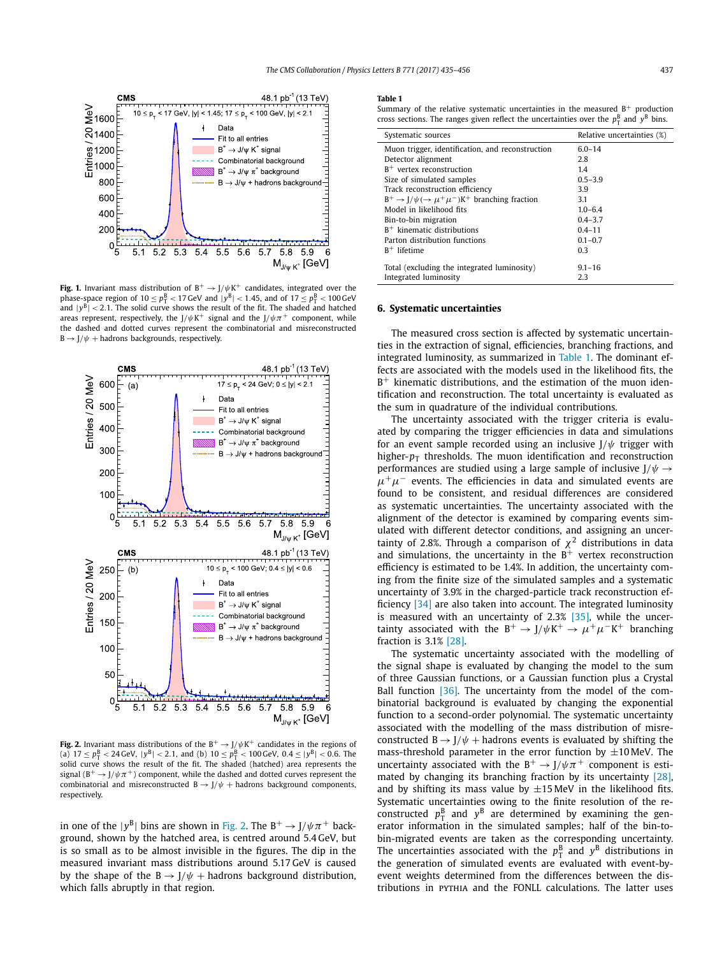<span id="page-2-0"></span>

**Fig. 1.** Invariant mass distribution of  $B^+ \rightarrow J/\psi K^+$  candidates, integrated over the phase-space region of  $10 \le p\frac{B}{T} < 17\,\text{GeV}$  and  $|y^B| < 1.45$ , and of  $17 \le p\frac{B}{T} < 100\,\text{GeV}$ and  $|v^B|$  < 2.1. The solid curve shows the result of the fit. The shaded and hatched areas represent, respectively, the  $J/\psi K^+$  signal and the  $J/\psi \pi^+$  component, while the dashed and dotted curves represent the combinatorial and misreconstructed B → J*/ψ* + hadrons backgrounds, respectively.



**Fig. 2.** Invariant mass distributions of the  $B^+ \rightarrow J/\psi K^+$  candidates in the regions of (a)  $17 \le p_T^B < 24$  GeV,  $|y^B| < 2.1$ , and (b)  $10 \le p_T^B < 100$  GeV,  $0.4 \le |y^B| < 0.6$ . The solid curve shows the result of the fit. The shaded (hatched) area represents the signal ( $B^+ \rightarrow J/\psi \pi^+$ ) component, while the dashed and dotted curves represent the combinatorial and misreconstructed  $B \rightarrow J/\psi +$  hadrons background components, respectively.

in one of the  $|y^B|$  bins are shown in Fig. 2. The B<sup>+</sup>  $\rightarrow$  J/ $\psi \pi$ <sup>+</sup> background, shown by the hatched area, is centred around 5.4 GeV, but is so small as to be almost invisible in the figures. The dip in the measured invariant mass distributions around 5.17 GeV is caused by the shape of the  $B \rightarrow J/\psi +$  hadrons background distribution, which falls abruptly in that region.

#### **Table 1**

Summary of the relative systematic uncertainties in the measured  $B^+$  production cross sections. The ranges given reflect the uncertainties over the  $p_T^B$  and  $y^B$  bins.

| Systematic sources                                                        | Relative uncertainties (%) |
|---------------------------------------------------------------------------|----------------------------|
| Muon trigger, identification, and reconstruction                          | $6.0 - 14$                 |
| Detector alignment                                                        | 2.8                        |
| $B^+$ vertex reconstruction                                               | 1.4                        |
| Size of simulated samples                                                 | $0.5 - 3.9$                |
| Track reconstruction efficiency                                           | 3.9                        |
| $B^+ \rightarrow J/\psi (\rightarrow \mu^+ \mu^-) K^+$ branching fraction | 3.1                        |
| Model in likelihood fits                                                  | $1.0 - 6.4$                |
| Bin-to-bin migration                                                      | $0.4 - 3.7$                |
| $B^+$ kinematic distributions                                             | $0.4 - 11$                 |
| Parton distribution functions                                             | $0.1 - 0.7$                |
| $B^+$ lifetime                                                            | 0.3                        |
| Total (excluding the integrated luminosity)                               | $9.1 - 16$                 |
| Integrated luminosity                                                     | 2.3                        |

#### **6. Systematic uncertainties**

The measured cross section is affected by systematic uncertainties in the extraction of signal, efficiencies, branching fractions, and integrated luminosity, as summarized in Table 1. The dominant effects are associated with the models used in the likelihood fits, the  $B^+$  kinematic distributions, and the estimation of the muon identification and reconstruction. The total uncertainty is evaluated as the sum in quadrature of the individual contributions.

The uncertainty associated with the trigger criteria is evaluated by comparing the trigger efficiencies in data and simulations for an event sample recorded using an inclusive J*/ψ* trigger with higher- $p_T$  thresholds. The muon identification and reconstruction performances are studied using a large sample of inclusive J*/ψ* →  $\mu^+\mu^-$  events. The efficiencies in data and simulated events are found to be consistent, and residual differences are considered as systematic uncertainties. The uncertainty associated with the alignment of the detector is examined by comparing events simulated with different detector conditions, and assigning an uncertainty of 2.8%. Through a comparison of  $\chi^2$  distributions in data and simulations, the uncertainty in the  $B^+$  vertex reconstruction efficiency is estimated to be 1.4%. In addition, the uncertainty coming from the finite size of the simulated samples and a systematic uncertainty of 3.9% in the charged-particle track reconstruction efficiency [\[34\]](#page-5-0) are also taken into account. The integrated luminosity is measured with an uncertainty of  $2.3\%$   $[35]$ , while the uncertainty associated with the B<sup>+</sup>  $\rightarrow$  J/ $\psi$ K<sup>+</sup>  $\rightarrow$   $\mu^{+}\mu^{-}$ K<sup>+</sup> branching fraction is 3.1% [\[28\].](#page-5-0)

The systematic uncertainty associated with the modelling of the signal shape is evaluated by changing the model to the sum of three Gaussian functions, or a Gaussian function plus a Crystal Ball function [\[36\].](#page-5-0) The uncertainty from the model of the combinatorial background is evaluated by changing the exponential function to a second-order polynomial. The systematic uncertainty associated with the modelling of the mass distribution of misreconstructed  $B \rightarrow J/\psi$  + hadrons events is evaluated by shifting the mass-threshold parameter in the error function by  $\pm 10$  MeV. The uncertainty associated with the  $B^+ \rightarrow I/\psi \pi^+$  component is estimated by changing its branching fraction by its uncertainty [\[28\],](#page-5-0) and by shifting its mass value by  $\pm 15$  MeV in the likelihood fits. Systematic uncertainties owing to the finite resolution of the reconstructed  $p_T^B$  and  $y^B$  are determined by examining the generator information in the simulated samples; half of the bin-tobin-migrated events are taken as the corresponding uncertainty. The uncertainties associated with the  $p_T^B$  and  $y^B$  distributions in the generation of simulated events are evaluated with event-byevent weights determined from the differences between the distributions in pythia and the FONLL calculations. The latter uses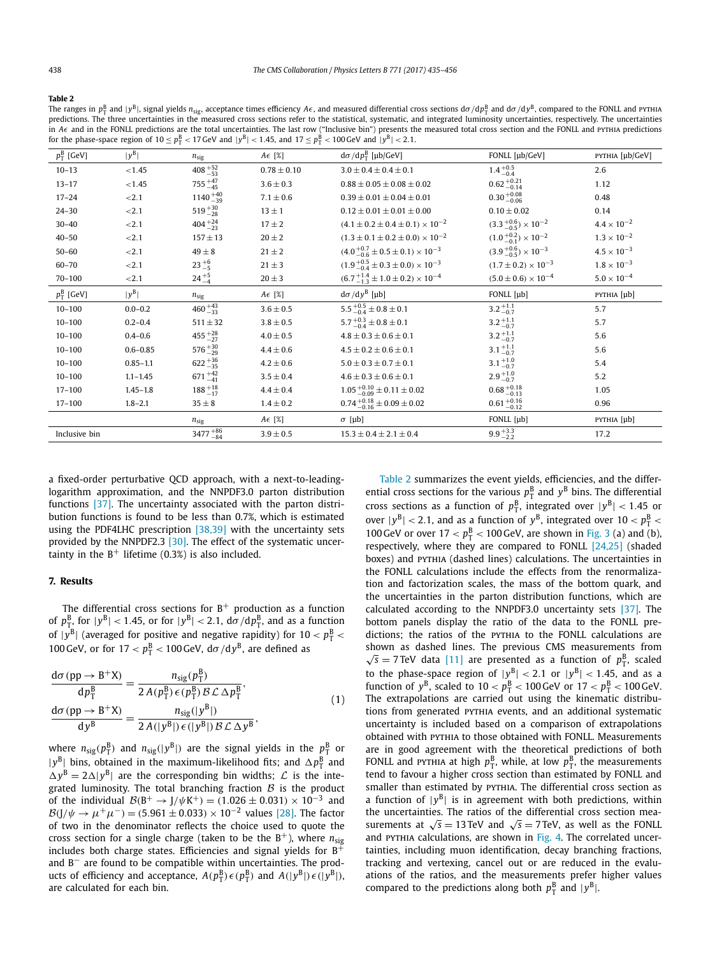#### **Table 2**

The ranges in  $p_1^{\rm B}$  and  $|{\bf y}^{\rm B}|,$  signal yields  $n_{\rm sig}$ , acceptance times efficiency A $\epsilon,$  and measured differential cross sections d $\sigma/dp_1^{\rm B}$  and d $\sigma/d{\bf y}^{\rm B},$  compared to the FONLL and PYTHIA predictions. The three uncertainties in the measured cross sections refer to the statistical, systematic, and integrated luminosity uncertainties, respectively. The uncertainties in *A* $\epsilon$  and in the FONLL predictions are the total uncertainties. The last row ("Inclusive bin") presents the measured total cross section and the FONLL and pyrnia predictions for the phase-space region of  $10 \le p_T^B < 17$  GeV and  $|y^B| < 1.45$ , and  $17 \le p_T^B < 100$  GeV and  $|y^B| < 2.1$ .

| $p_{\rm T}^{\rm B}$ [GeV] | $ y^B $      | $n_{sig}$                 | $A \in [\%]$    | $d\sigma/dp_T^B$ [µb/GeV]                            | FONLL [µb/GeV]                       | PYTHIA [µb/GeV]      |
|---------------------------|--------------|---------------------------|-----------------|------------------------------------------------------|--------------------------------------|----------------------|
| $10 - 13$                 | < 1.45       | $408 + 52 \atop -53$      | $0.78 \pm 0.10$ | $3.0 \pm 0.4 \pm 0.4 \pm 0.1$                        | $1.4_{-0.4}^{+0.5}$                  | 2.6                  |
| $13 - 17$                 | < 1.45       | $755 + 47$ <sub>-45</sub> | $3.6 \pm 0.3$   | $0.88 \pm 0.05 \pm 0.08 \pm 0.02$                    | $0.62_{-0.14}^{+0.21}$               | 1.12                 |
| $17 - 24$                 | < 2.1        | $1140^{+40}_{-39}$        | $7.1 \pm 0.6$   | $0.39 \pm 0.01 \pm 0.04 \pm 0.01$                    | $0.30_{-0.06}^{+0.08}$               | 0.48                 |
| $24 - 30$                 | < 2.1        | $519^{+30}_{-28}$         | $13 \pm 1$      | $0.12 \pm 0.01 \pm 0.01 \pm 0.00$                    | $0.10 \pm 0.02$                      | 0.14                 |
| $30 - 40$                 | < 2.1        | $404^{+24}_{-23}$         | $17 \pm 2$      | $(4.1 \pm 0.2 \pm 0.4 \pm 0.1) \times 10^{-2}$       | $(3.3^{+0.6}_{-0.5}) \times 10^{-2}$ | $4.4 \times 10^{-2}$ |
| $40 - 50$                 | < 2.1        | $157 \pm 13$              | $20 \pm 2$      | $(1.3 \pm 0.1 \pm 0.2 \pm 0.0) \times 10^{-2}$       | $(1.0^{+0.2}_{-0.1}) \times 10^{-2}$ | $1.3 \times 10^{-2}$ |
| $50 - 60$                 | < 2.1        | $49\pm8$                  | $21 \pm 2$      | $(4.0^{+0.7}_{-0.6} \pm 0.5 \pm 0.1) \times 10^{-3}$ | $(3.9^{+0.6}_{-0.5}) \times 10^{-3}$ | $4.5 \times 10^{-3}$ |
| 60-70                     | ${<}2.1$     | $23^{+6}_{-5}$            | $21\pm3$        | $(1.9^{+0.5}_{-0.4} \pm 0.3 \pm 0.0) \times 10^{-3}$ | $(1.7 \pm 0.2) \times 10^{-3}$       | $1.8 \times 10^{-3}$ |
| $70 - 100$                | < 2.1        | $24^{+5}_{-4}$            | $20 \pm 3$      | $(6.7^{+1.4}_{-1.3} \pm 1.0 \pm 0.2) \times 10^{-4}$ | $(5.0 \pm 0.6) \times 10^{-4}$       | $5.0 \times 10^{-4}$ |
| $p_T^B$ [GeV]             | $ y^B $      | $n_{sig}$                 | $A \in [\%]$    | $d\sigma/dy^B$ [µb]                                  | FONLL [µb]                           | PYTHIA [µb]          |
| $10 - 100$                | $0.0 - 0.2$  | $460 + 43$                | $3.6 \pm 0.5$   | $5.5^{+0.5}_{-0.4} \pm 0.8 \pm 0.1$                  | $3.2^{+1.1}_{-0.7}$                  | 5.7                  |
| $10 - 100$                | $0.2 - 0.4$  | $511 \pm 32$              | $3.8\pm0.5$     | $5.7^{+0.3}_{-0.4}\pm 0.8\pm 0.1$                    | $3.2_{-0.7}^{+1.1}$                  | 5.7                  |
| $10 - 100$                | $0.4 - 0.6$  | $455 + 28 + 27$           | $4.0 \pm 0.5$   | $4.8 \pm 0.3 \pm 0.6 \pm 0.1$                        | $3.2_{-0.7}^{+1.1}$                  | 5.6                  |
| $10 - 100$                | $0.6 - 0.85$ | $576^{+30}_{-29}$         | $4.4\pm0.6$     | $4.5 \pm 0.2 \pm 0.6 \pm 0.1$                        | $3.1_{-0.7}^{+1.1}$                  | 5.6                  |
| $10 - 100$                | $0.85 - 1.1$ | $622^{+36}_{-35}$         | $4.2 \pm 0.6$   | $5.0 \pm 0.3 \pm 0.7 \pm 0.1$                        | $3.1_{-0.7}^{+1.0}$                  | 5.4                  |
| $10 - 100$                | $1.1 - 1.45$ | $671 + 42$ <sub>-41</sub> | $3.5 \pm 0.4$   | $4.6 \pm 0.3 \pm 0.6 \pm 0.1$                        | $2.9_{-0.7}^{+1.0}$                  | 5.2                  |
| $17 - 100$                | $1.45 - 1.8$ | $188^{+18}_{-17}$         | $4.4 \pm 0.4$   | $1.05_{-0.09}^{+0.10} \pm 0.11 \pm 0.02$             | $0.68_{-0.13}^{+0.18}$               | 1.05                 |
| $17 - 100$                | $1.8 - 2.1$  | $35 \pm 8$                | $1.4 \pm 0.2$   | $0.74_{-0.16}^{+0.18} \pm 0.09 \pm 0.02$             | $0.61_{-0.12}^{+0.16}$               | 0.96                 |
|                           |              | $n_{sig}$                 | $A \in [\%]$    | $\sigma$ [µb]                                        | FONLL $[\mu b]$                      | PYTHIA [µb]          |
| Inclusive bin             |              | $3477^{+86}_{-84}$        | $3.9 \pm 0.5$   | $15.3 \pm 0.4 \pm 2.1 \pm 0.4$                       | $9.9_{-2.2}^{+3.3}$                  | 17.2                 |

a fixed-order perturbative QCD approach, with a next-to-leadinglogarithm approximation, and the NNPDF3.0 parton distribution functions [\[37\].](#page-5-0) The uncertainty associated with the parton distribution functions is found to be less than 0.7%, which is estimated using the PDF4LHC prescription [\[38,39\]](#page-5-0) with the uncertainty sets provided by the NNPDF2.3 [\[30\].](#page-5-0) The effect of the systematic uncertainty in the  $B^+$  lifetime (0.3%) is also included.

#### **7. Results**

The differential cross sections for  $B^+$  production as a function of  $p_{\rm T_2}^{\rm B}$  for  $|y^{\rm B}| < 1.45$ , or for  $|y^{\rm B}| < 2.1$ , d $\sigma/{\rm d} p_{\rm T}^{\rm B}$ , and as a function of  $|y^B|$  (averaged for positive and negative rapidity) for  $10 < p_T^B <$ 100 GeV, or for 17  $< p_T^{\rm B} < 100$  GeV, d $\sigma/{\rm d}y^{\rm B}$ , are defined as

$$
\frac{d\sigma(pp \to B^{+}X)}{dp_{T}^{B}} = \frac{n_{sig}(p_{T}^{B})}{2 A(p_{T}^{B}) \epsilon(p_{T}^{B}) B C \Delta p_{T}^{B}},
$$
\n
$$
\frac{d\sigma(pp \to B^{+}X)}{dy^{B}} = \frac{n_{sig}(|y^{B}|)}{2 A(|y^{B}|) \epsilon(|y^{B}|) B C \Delta y^{B}},
$$
\n(1)

where  $n_{sig}(p_T^B)$  and  $n_{sig}(|y^B|)$  are the signal yields in the  $p_T^B$  or  $|y^B|$  bins, obtained in the maximum-likelihood fits; and  $\Delta p_T^B$  and  $\Delta y^B = 2\Delta |y^B|$  are the corresponding bin widths; L is the integrated luminosity. The total branching fraction  $\beta$  is the product of the individual  $B(B^+ \to J/\psi K^+) = (1.026 \pm 0.031) \times 10^{-3}$  and  $B(J/\psi \to \mu^+\mu^-) = (5.961 \pm 0.033) \times 10^{-2}$  values [\[28\].](#page-5-0) The factor of two in the denominator reflects the choice used to quote the cross section for a single charge (taken to be the  $B^+$ ), where  $n_{\text{sig}}$ includes both charge states. Efficiencies and signal yields for  $B^+$ and B− are found to be compatible within uncertainties. The products of efficiency and acceptance,  $A(p_T^B) \epsilon(p_T^B)$  and  $A(|y^B|) \epsilon(|y^B|)$ , are calculated for each bin.

Table 2 summarizes the event yields, efficiencies, and the differential cross sections for the various  $p_T^B$  and  $y^B$  bins. The differential cross sections as a function of  $p_T^B$ , integrated over  $|y^B|$  < 1.45 or over  $|y^B|$  < 2.1, and as a function of  $y^B$ , integrated over  $10 < p_T^B$  < 100 GeV or over  $17 < p_T^B < 100$  GeV, are shown in [Fig. 3](#page-4-0) (a) and (b), respectively, where they are compared to FONLL [\[24,25\]](#page-5-0) (shaded boxes) and pythia (dashed lines) calculations. The uncertainties in the FONLL calculations include the effects from the renormalization and factorization scales, the mass of the bottom quark, and the uncertainties in the parton distribution functions, which are calculated according to the NNPDF3.0 uncertainty sets [\[37\].](#page-5-0) The bottom panels display the ratio of the data to the FONLL predictions; the ratios of the pythia to the FONLL calculations are shown as dashed lines. The previous CMS measurements from  $\sqrt{s}$  = 7 TeV data [\[11\]](#page-5-0) are presented as a function of  $p_T^B$ , scaled to the phase-space region of  $|y^B| < 2.1$  or  $|y^B| < 1.45$ , and as a function of  $y^B$ , scaled to  $10 < p_T^B < 100$  GeV or  $17 < p_T^B < 100$  GeV. The extrapolations are carried out using the kinematic distributions from generated PYTHIA events, and an additional systematic uncertainty is included based on a comparison of extrapolations obtained with PYTHIA to those obtained with FONLL. Measurements are in good agreement with the theoretical predictions of both FONLL and PYTHIA at high  $p_T^B$ , while, at low  $p_T^B$ , the measurements tend to favour a higher cross section than estimated by FONLL and smaller than estimated by PYTHIA. The differential cross section as a function of  $|y^B|$  is in agreement with both predictions, within the uncertainties. The ratios of the differential cross section measurements at  $\sqrt{s} = 13 \text{ TeV}$  and  $\sqrt{s} = 7 \text{ TeV}$ , as well as the FONLL and PYTHIA calculations, are shown in [Fig. 4.](#page-4-0) The correlated uncertainties, including muon identification, decay branching fractions, tracking and vertexing, cancel out or are reduced in the evaluations of the ratios, and the measurements prefer higher values compared to the predictions along both  $p_T^B$  and  $|y^B|$ .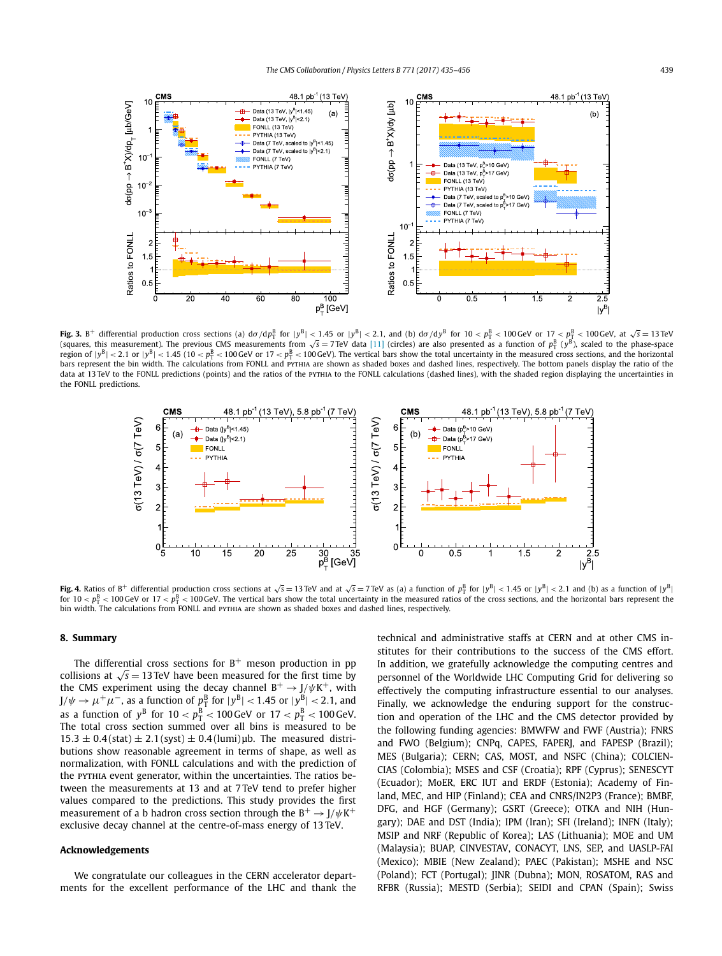<span id="page-4-0"></span>

**Fig. 3.** B<sup>+</sup> differential production cross sections (a) do /dp<sup>B</sup> for  $|y^B| < 1.45$  or  $|y^B| < 2.1$ , and (b) do /dy<sup>B</sup> for  $10 < p_T^B < 100$  GeV or  $17 < p_T^B < 100$  GeV, at  $\sqrt{s} = 13$  TeV (squares, this measurement). The previous CMS measurements from  $\sqrt{s} = 7$  TeV data [\[11\]](#page-5-0) (circles) are also presented as a function of  $p_T^B$  ( $y^B$ ), scaled to the phase-space region of  $|y^B| < 2.1$  or  $|y^B| < 1.45$  (10  $< p_T^B < 100$  GeV or 17  $< p_T^B < 100$  GeV). The vertical bars show the total uncertainty in the measured cross sections, and the horizontal bars represent the bin width. The calculations from FONLL and PYTHIA are shown as shaded boxes and dashed lines, respectively. The bottom panels display the ratio of the data at 13 TeV to the FONLL predictions (points) and the ratios of the pythia to the FONLL calculations (dashed lines), with the shaded region displaying the uncertainties in the FONLL predictions.



**Fig. 4.** Ratios of B<sup>+</sup> differential production cross sections at  $\sqrt{s}$  = 13 TeV and at  $\sqrt{s}$  = 7 TeV as (a) a function of  $p_T^B$  for  $|y^B|$  < 1.45 or  $|y^B|$  < 2.1 and (b) as a function of  $|y^B|$ for 10 <  $p_{\rm T}^{\rm B}$  < 100GeV or 17 <  $p_{\rm T}^{\rm B}$  < 100GeV. The vertical bars show the total uncertainty in the measured ratios of the cross sections, and the horizontal bars represent the bin width. The calculations from FONLL and PYTHIA are shown as shaded boxes and dashed lines, respectively.

#### **8. Summary**

The differential cross sections for  $B^+$  meson production in pp collisions at  $\sqrt{s}$  = 13 TeV have been measured for the first time by the CMS experiment using the decay channel  $B^+ \rightarrow J/\psi K^+$ , with  $J/\psi \rightarrow \mu^+\mu^-$ , as a function of  $p_T^{\rm B}$  for  $|y^{\rm B}| < 1.45$  or  $|y^{\rm B}| < 2.1$ , and as a function of  $y^B$  for  $10 < p_T^B < 100\,\text{GeV}$  or  $17 < p_T^B < 100\,\text{GeV}.$ The total cross section summed over all bins is measured to be  $15.3 \pm 0.4$  (stat)  $\pm 2.1$  (syst)  $\pm 0.4$  (lumi)  $\mu$ b. The measured distributions show reasonable agreement in terms of shape, as well as normalization, with FONLL calculations and with the prediction of the pythia event generator, within the uncertainties. The ratios between the measurements at 13 and at 7 TeV tend to prefer higher values compared to the predictions. This study provides the first measurement of a b hadron cross section through the  $B^+ \rightarrow J/\psi K^+$ exclusive decay channel at the centre-of-mass energy of 13 TeV.

#### **Acknowledgements**

We congratulate our colleagues in the CERN accelerator departments for the excellent performance of the LHC and thank the technical and administrative staffs at CERN and at other CMS institutes for their contributions to the success of the CMS effort. In addition, we gratefully acknowledge the computing centres and personnel of the Worldwide LHC Computing Grid for delivering so effectively the computing infrastructure essential to our analyses. Finally, we acknowledge the enduring support for the construction and operation of the LHC and the CMS detector provided by the following funding agencies: BMWFW and FWF (Austria); FNRS and FWO (Belgium); CNPq, CAPES, FAPERJ, and FAPESP (Brazil); MES (Bulgaria); CERN; CAS, MOST, and NSFC (China); COLCIEN-CIAS (Colombia); MSES and CSF (Croatia); RPF (Cyprus); SENESCYT (Ecuador); MoER, ERC IUT and ERDF (Estonia); Academy of Finland, MEC, and HIP (Finland); CEA and CNRS/IN2P3 (France); BMBF, DFG, and HGF (Germany); GSRT (Greece); OTKA and NIH (Hungary); DAE and DST (India); IPM (Iran); SFI (Ireland); INFN (Italy); MSIP and NRF (Republic of Korea); LAS (Lithuania); MOE and UM (Malaysia); BUAP, CINVESTAV, CONACYT, LNS, SEP, and UASLP-FAI (Mexico); MBIE (New Zealand); PAEC (Pakistan); MSHE and NSC (Poland); FCT (Portugal); JINR (Dubna); MON, ROSATOM, RAS and RFBR (Russia); MESTD (Serbia); SEIDI and CPAN (Spain); Swiss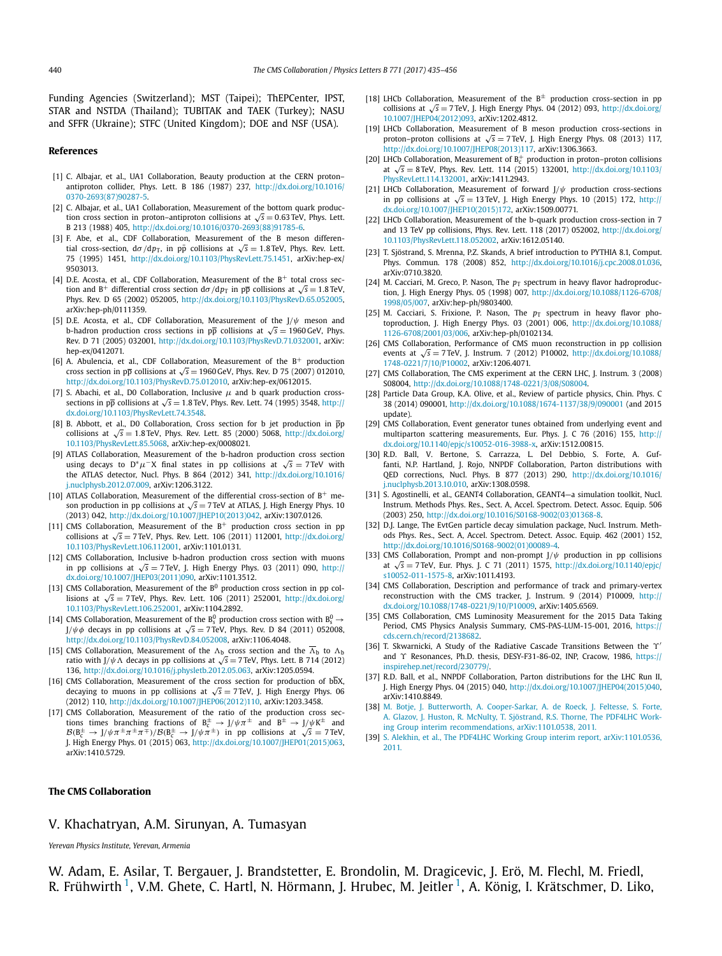<span id="page-5-0"></span>Funding Agencies (Switzerland); MST (Taipei); ThEPCenter, IPST, STAR and NSTDA (Thailand); TUBITAK and TAEK (Turkey); NASU and SFFR (Ukraine); STFC (United Kingdom); DOE and NSF (USA).

#### **References**

- [1] C. Albajar, et al., UA1 Collaboration, Beauty production at the CERN protonantiproton collider, Phys. Lett. B 186 (1987) 237, [http://dx.doi.org/10.1016/](http://dx.doi.org/10.1016/0370-2693(87)90287-5) [0370-2693\(87\)90287-5](http://dx.doi.org/10.1016/0370-2693(87)90287-5).
- [2] C. Albajar, et al., UA1 Collaboration, Measurement of the bottom quark production cross section in proton–antiproton collisions at  $\sqrt{s} = 0.63$  TeV, Phys. Lett. B 213 (1988) 405, [http://dx.doi.org/10.1016/0370-2693\(88\)91785-6](http://dx.doi.org/10.1016/0370-2693(88)91785-6).
- [3] F. Abe, et al., CDF Collaboration, Measurement of the B meson differential cross-section,  $d\sigma/dp$ <sub>T</sub>, in pp collisions at  $\sqrt{s} = 1.8$  TeV, Phys. Rev. Lett. 75 (1995) 1451, [http://dx.doi.org/10.1103/PhysRevLett.75.1451,](http://dx.doi.org/10.1103/PhysRevLett.75.1451) arXiv:hep-ex/ 9503013.
- [4] D.E. Acosta, et al., CDF Collaboration, Measurement of the  $B<sup>+</sup>$  total cross section and B<sup>+</sup> differential cross section  $d\sigma/dp_T$  in  $p\overline{p}$  collisions at  $\sqrt{s} = 1.8$  TeV, Phys. Rev. D 65 (2002) 052005, <http://dx.doi.org/10.1103/PhysRevD.65.052005>, arXiv:hep-ph/0111359.
- [5] D.E. Acosta, et al., CDF Collaboration, Measurement of the J*/ψ* meson and b-hadron production cross sections in  $p\bar{p}$  collisions at  $\sqrt{s} = 1960 \text{ GeV}$ , Phys. Rev. D 71 (2005) 032001, <http://dx.doi.org/10.1103/PhysRevD.71.032001>, arXiv: hep-ex/0412071.
- [6] A. Abulencia, et al., CDF Collaboration, Measurement of the  $B^+$  production cross section in pp collisions at  $\sqrt{s}$  = 1960 GeV, Phys. Rev. D 75 (2007) 012010, <http://dx.doi.org/10.1103/PhysRevD.75.012010>, arXiv:hep-ex/0612015.
- [7] S. Abachi, et al., D0 Collaboration, Inclusive  $\mu$  and b quark production crosssections in  $p\bar{p}$  collisions at  $\sqrt{s} = 1.8$  TeV, Phys. Rev. Lett. 74 (1995) 3548, [http://](http://dx.doi.org/10.1103/PhysRevLett.74.3548) [dx.doi.org/10.1103/PhysRevLett.74.3548.](http://dx.doi.org/10.1103/PhysRevLett.74.3548)
- [8] B. Abbott, et al., D0 Collaboration, Cross section for b jet production in  $\overline{p}p$ collisions at  $\sqrt{s}$  = 1.8 TeV, Phys. Rev. Lett. 85 (2000) 5068, [http://dx.doi.org/](http://dx.doi.org/10.1103/PhysRevLett.85.5068) [10.1103/PhysRevLett.85.5068](http://dx.doi.org/10.1103/PhysRevLett.85.5068), arXiv:hep-ex/0008021.
- [9] ATLAS Collaboration, Measurement of the b-hadron production cross section using decays to <sup>D</sup><sup>∗</sup>*μ*<sup>−</sup>X final states in pp collisions at <sup>√</sup>*<sup>s</sup>* <sup>=</sup> <sup>7</sup> TeV with the ATLAS detector, Nucl. Phys. B 864 (2012) 341, [http://dx.doi.org/10.1016/](http://dx.doi.org/10.1016/j.nuclphysb.2012.07.009) [j.nuclphysb.2012.07.009,](http://dx.doi.org/10.1016/j.nuclphysb.2012.07.009) arXiv:1206.3122.
- [10] ATLAS Collaboration, Measurement of the differential cross-section of  $B^+$  meson production in pp collisions at  $\sqrt{s}$  = 7 TeV at ATLAS, J. High Energy Phys. 10 (2013) 042, [http://dx.doi.org/10.1007/JHEP10\(2013\)042,](http://dx.doi.org/10.1007/JHEP10(2013)042) arXiv:1307.0126.
- [11] CMS Collaboration, Measurement of the  $B^+$  production cross section in pp collisions at  $\sqrt{s}$  = 7 TeV, Phys. Rev. Lett. 106 (2011) 112001, [http://dx.doi.org/](http://dx.doi.org/10.1103/PhysRevLett.106.112001) [10.1103/PhysRevLett.106.112001](http://dx.doi.org/10.1103/PhysRevLett.106.112001), arXiv:1101.0131.
- [12] CMS Collaboration, Inclusive b-hadron production cross section with muons in pp collisions at  $\sqrt{s}$  = 7 TeV, J. High Energy Phys. 03 (2011) 090, [http://](http://dx.doi.org/10.1007/JHEP03(2011)090) [dx.doi.org/10.1007/JHEP03\(2011\)090,](http://dx.doi.org/10.1007/JHEP03(2011)090) arXiv:1101.3512.
- [13] CMS Collaboration, Measurement of the  $B^0$  production cross section in pp collisions at  $\sqrt{s}$  = 7 TeV, Phys. Rev. Lett. 106 (2011) 252001, [http://dx.doi.org/](http://dx.doi.org/10.1103/PhysRevLett.106.252001) [10.1103/PhysRevLett.106.252001,](http://dx.doi.org/10.1103/PhysRevLett.106.252001) arXiv:1104.2892.
- [14] CMS Collaboration, Measurement of the  $B_s^0$  production cross section with  $B_s^0 \rightarrow$ *J*/ $\psi \phi$  decays in pp collisions at  $\sqrt{s} = 7$  TeV, Phys. Rev. D 84 (2011) 052008, <http://dx.doi.org/10.1103/PhysRevD.84.052008>, arXiv:1106.4048.
- [15] CMS Collaboration, Measurement of the  $\Lambda_b$  cross section and the  $\overline{\Lambda}_b$  to  $\Lambda_b$ ratio with J/ $\psi \Lambda$  decays in pp collisions at  $\sqrt{s} = 7$  TeV, Phys. Lett. B 714 (2012) 136, <http://dx.doi.org/10.1016/j.physletb.2012.05.063>, arXiv:1205.0594.
- [16] CMS Collaboration, Measurement of the cross section for production of  $b\overline{b}X$ , decaying to muons in pp collisions at  $\sqrt{s}$  = 7 TeV, J. High Energy Phys. 06 (2012) 110, [http://dx.doi.org/10.1007/JHEP06\(2012\)110,](http://dx.doi.org/10.1007/JHEP06(2012)110) arXiv:1203.3458.
- [17] CMS Collaboration, Measurement of the ratio of the production cross sections times branching fractions of  $B_c^{\pm} \to J/\psi \pi^{\pm}$  and  $B^{\pm} \to J/\psi K^{\pm}$  and  $B(\mathbb{B}_{\mathbb{C}}^{\pm} \to \int / \psi \pi^{\pm} \pi^{\pm} \pi^{\mp} / \mathcal{B}(\mathbb{B}_{\mathbb{C}}^{\pm} \to \int / \psi \pi^{\pm})$  in pp collisions at  $\sqrt{s} = 7$  TeV, J. High Energy Phys. 01 (2015) 063, [http://dx.doi.org/10.1007/JHEP01\(2015\)063](http://dx.doi.org/10.1007/JHEP01(2015)063), arXiv:1410.5729.
- [18] LHCb Collaboration, Measurement of the  $B^{\pm}$  production cross-section in pp collisions at  $\sqrt{s}$  = 7 TeV, J. High Energy Phys. 04 (2012) 093, [http://dx.doi.org/](http://dx.doi.org/10.1007/JHEP04(2012)093) [10.1007/JHEP04\(2012\)093,](http://dx.doi.org/10.1007/JHEP04(2012)093) arXiv:1202.4812.
- [19] LHCb Collaboration, Measurement of B meson production cross-sections in proton–proton collisions at  $\sqrt{s}$  = 7 TeV, J. High Energy Phys. 08 (2013) 117, [http://dx.doi.org/10.1007/JHEP08\(2013\)117](http://dx.doi.org/10.1007/JHEP08(2013)117), arXiv:1306.3663.
- [20] LHCb Collaboration, Measurement of  $B_c^+$  production in proton–proton collisions at  $\sqrt{s}$  = 8 TeV, Phys. Rev. Lett. 114 (2015) 132001, [http://dx.doi.org/10.1103/](http://dx.doi.org/10.1103/PhysRevLett.114.132001) [PhysRevLett.114.132001,](http://dx.doi.org/10.1103/PhysRevLett.114.132001) arXiv:1411.2943.
- [21] LHCb Collaboration, Measurement of forward J*/ψ* production cross-sections in pp collisions at  $\sqrt{s}$  = 13 TeV, J. High Energy Phys. 10 (2015) 172, [http://](http://dx.doi.org/10.1007/JHEP10(2015)172) [dx.doi.org/10.1007/JHEP10\(2015\)172,](http://dx.doi.org/10.1007/JHEP10(2015)172) arXiv:1509.00771.
- [22] LHCb Collaboration, Measurement of the b-quark production cross-section in 7 and 13 TeV pp collisions, Phys. Rev. Lett. 118 (2017) 052002, [http://dx.doi.org/](http://dx.doi.org/10.1103/PhysRevLett.118.052002) [10.1103/PhysRevLett.118.052002,](http://dx.doi.org/10.1103/PhysRevLett.118.052002) arXiv:1612.05140.
- [23] T. Sjöstrand, S. Mrenna, P.Z. Skands, A brief introduction to PYTHIA 8.1, Comput. Phys. Commun. 178 (2008) 852, <http://dx.doi.org/10.1016/j.cpc.2008.01.036>, arXiv:0710.3820.
- [24] M. Cacciari, M. Greco, P. Nason, The  $p_T$  spectrum in heavy flavor hadroproduction, J. High Energy Phys. 05 (1998) 007, [http://dx.doi.org/10.1088/1126-6708/](http://dx.doi.org/10.1088/1126-6708/1998/05/007) [1998/05/007](http://dx.doi.org/10.1088/1126-6708/1998/05/007), arXiv:hep-ph/9803400.
- [25] M. Cacciari, S. Frixione, P. Nason, The  $p_T$  spectrum in heavy flavor photoproduction, J. High Energy Phys. 03 (2001) 006, [http://dx.doi.org/10.1088/](http://dx.doi.org/10.1088/1126-6708/2001/03/006) [1126-6708/2001/03/006](http://dx.doi.org/10.1088/1126-6708/2001/03/006), arXiv:hep-ph/0102134.
- [26] CMS Collaboration, Performance of CMS muon reconstruction in pp collision events at  $\sqrt{s}$  = 7 TeV, J. Instrum. 7 (2012) P10002, [http://dx.doi.org/10.1088/](http://dx.doi.org/10.1088/1748-0221/7/10/P10002) [1748-0221/7/10/P10002](http://dx.doi.org/10.1088/1748-0221/7/10/P10002), arXiv:1206.4071.
- [27] CMS Collaboration, The CMS experiment at the CERN LHC, J. Instrum. 3 (2008) S08004, <http://dx.doi.org/10.1088/1748-0221/3/08/S08004>.
- [28] Particle Data Group, K.A. Olive, et al., Review of particle physics, Chin. Phys. C 38 (2014) 090001, <http://dx.doi.org/10.1088/1674-1137/38/9/090001> (and 2015 update).
- [29] CMS Collaboration, Event generator tunes obtained from underlying event and multiparton scattering measurements, Eur. Phys. J. C 76 (2016) 155, [http://](http://dx.doi.org/10.1140/epjc/s10052-016-3988-x) [dx.doi.org/10.1140/epjc/s10052-016-3988-x,](http://dx.doi.org/10.1140/epjc/s10052-016-3988-x) arXiv:1512.00815.
- [30] R.D. Ball, V. Bertone, S. Carrazza, L. Del Debbio, S. Forte, A. Guffanti, N.P. Hartland, J. Rojo, NNPDF Collaboration, Parton distributions with QED corrections, Nucl. Phys. B 877 (2013) 290, [http://dx.doi.org/10.1016/](http://dx.doi.org/10.1016/j.nuclphysb.2013.10.010) [j.nuclphysb.2013.10.010](http://dx.doi.org/10.1016/j.nuclphysb.2013.10.010), arXiv:1308.0598.
- [31] S. Agostinelli, et al., GEANT4 Collaboration, GEANT4—a simulation toolkit, Nucl. Instrum. Methods Phys. Res., Sect. A, Accel. Spectrom. Detect. Assoc. Equip. 506 (2003) 250, [http://dx.doi.org/10.1016/S0168-9002\(03\)01368-8](http://dx.doi.org/10.1016/S0168-9002(03)01368-8).
- [32] D.J. Lange, The EvtGen particle decay simulation package, Nucl. Instrum. Methods Phys. Res., Sect. A, Accel. Spectrom. Detect. Assoc. Equip. 462 (2001) 152, [http://dx.doi.org/10.1016/S0168-9002\(01\)00089-4](http://dx.doi.org/10.1016/S0168-9002(01)00089-4).
- [33] CMS Collaboration, Prompt and non-prompt J*/ψ* production in pp collisions at <sup>√</sup>*<sup>s</sup>* <sup>=</sup> <sup>7</sup> TeV, Eur. Phys. J. <sup>C</sup> <sup>71</sup> (2011) 1575, [http://dx.doi.org/10.1140/epjc/](http://dx.doi.org/10.1140/epjc/s10052-011-1575-8) [s10052-011-1575-8](http://dx.doi.org/10.1140/epjc/s10052-011-1575-8), arXiv:1011.4193.
- [34] CMS Collaboration, Description and performance of track and primary-vertex reconstruction with the CMS tracker, J. Instrum. 9 (2014) P10009, [http://](http://dx.doi.org/10.1088/1748-0221/9/10/P10009) [dx.doi.org/10.1088/1748-0221/9/10/P10009,](http://dx.doi.org/10.1088/1748-0221/9/10/P10009) arXiv:1405.6569.
- [35] CMS Collaboration, CMS Luminosity Measurement for the 2015 Data Taking Period, CMS Physics Analysis Summary, CMS-PAS-LUM-15-001, 2016, [https://](https://cds.cern.ch/record/2138682) [cds.cern.ch/record/2138682.](https://cds.cern.ch/record/2138682)
- [36] T. Skwarnicki, A Study of the Radiative Cascade Transitions Between the *ϒ* and *ϒ* Resonances, Ph.D. thesis, DESY-F31-86-02, INP, Cracow, 1986, [https://](https://inspirehep.net/record/230779/) [inspirehep.net/record/230779/](https://inspirehep.net/record/230779/).
- [37] R.D. Ball, et al., NNPDF Collaboration, Parton distributions for the LHC Run II, J. High Energy Phys. 04 (2015) 040, [http://dx.doi.org/10.1007/JHEP04\(2015\)040](http://dx.doi.org/10.1007/JHEP04(2015)040), arXiv:1410.8849.
- [38] M. Botje, J. Butterworth, A. [Cooper-Sarkar,](http://refhub.elsevier.com/S0370-2693(17)30437-9/bib426F746A653A32303131736Es1) A. de Roeck, J. Feltesse, S. Forte, [A. Glazov,](http://refhub.elsevier.com/S0370-2693(17)30437-9/bib426F746A653A32303131736Es1) J. Huston, R. McNulty, T. Sjöstrand, R.S. Thorne, The PDF4LHC Working Group interim [recommendations,](http://refhub.elsevier.com/S0370-2693(17)30437-9/bib426F746A653A32303131736Es1) arXiv:1101.0538, 2011.
- [39] S. Alekhin, et al., The PDF4LHC Working Group interim report, [arXiv:1101.0536,](http://refhub.elsevier.com/S0370-2693(17)30437-9/bib416C656B68696E3A32303131736Bs1) [2011.](http://refhub.elsevier.com/S0370-2693(17)30437-9/bib416C656B68696E3A32303131736Bs1)

#### **The CMS Collaboration**

### V. Khachatryan, A.M. Sirunyan, A. Tumasyan

*Yerevan Physics Institute, Yerevan, Armenia*

W. Adam, E. Asilar, T. Bergauer, J. Brandstetter, E. Brondolin, M. Dragicevic, J. Erö, M. Flechl, M. Friedl, R. Frühwirth<sup>1</sup>, V.M. Ghete, C. Hartl, N. Hörmann, J. Hrubec, M. Jeitler<sup>1</sup>, A. König, I. Krätschmer, D. Liko,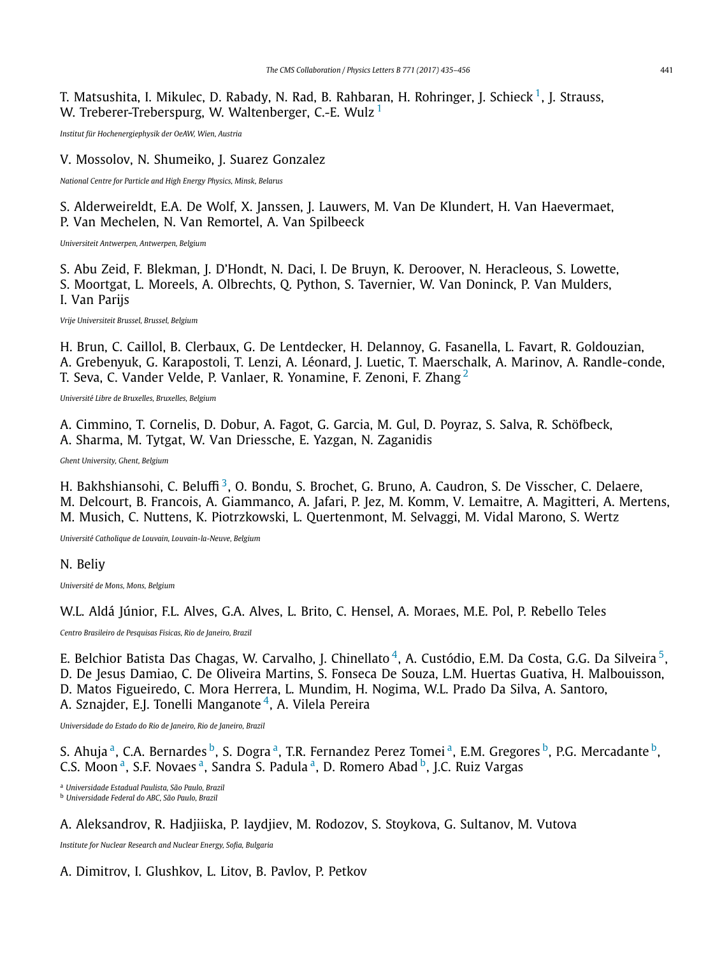T. Matsushita, I. Mikulec, D. Rabady, N. Rad, B. Rahbaran, H. Rohringer, J. Schieck<sup>1</sup>, J. Strauss, W. Treberer-Treberspurg, W. Waltenberger, C.-E. Wulz  $<sup>1</sup>$  $<sup>1</sup>$  $<sup>1</sup>$ </sup>

*Institut für Hochenergiephysik der OeAW, Wien, Austria*

V. Mossolov, N. Shumeiko, J. Suarez Gonzalez

*National Centre for Particle and High Energy Physics, Minsk, Belarus*

S. Alderweireldt, E.A. De Wolf, X. Janssen, J. Lauwers, M. Van De Klundert, H. Van Haevermaet, P. Van Mechelen, N. Van Remortel, A. Van Spilbeeck

*Universiteit Antwerpen, Antwerpen, Belgium*

S. Abu Zeid, F. Blekman, J. D'Hondt, N. Daci, I. De Bruyn, K. Deroover, N. Heracleous, S. Lowette, S. Moortgat, L. Moreels, A. Olbrechts, Q. Python, S. Tavernier, W. Van Doninck, P. Van Mulders, I. Van Parijs

*Vrije Universiteit Brussel, Brussel, Belgium*

H. Brun, C. Caillol, B. Clerbaux, G. De Lentdecker, H. Delannoy, G. Fasanella, L. Favart, R. Goldouzian, A. Grebenyuk, G. Karapostoli, T. Lenzi, A. Léonard, J. Luetic, T. Maerschalk, A. Marinov, A. Randle-conde, T. Seva, C. Vander Velde, P. Vanlaer, R. Yonamine, F. Zenoni, F. Zhang [2](#page-20-0)

*Université Libre de Bruxelles, Bruxelles, Belgium*

A. Cimmino, T. Cornelis, D. Dobur, A. Fagot, G. Garcia, M. Gul, D. Poyraz, S. Salva, R. Schöfbeck, A. Sharma, M. Tytgat, W. Van Driessche, E. Yazgan, N. Zaganidis

*Ghent University, Ghent, Belgium*

H. Bakhshiansohi, C. Beluffi<sup>3</sup>, O. Bondu, S. Brochet, G. Bruno, A. Caudron, S. De Visscher, C. Delaere, M. Delcourt, B. Francois, A. Giammanco, A. Jafari, P. Jez, M. Komm, V. Lemaitre, A. Magitteri, A. Mertens, M. Musich, C. Nuttens, K. Piotrzkowski, L. Quertenmont, M. Selvaggi, M. Vidal Marono, S. Wertz

*Université Catholique de Louvain, Louvain-la-Neuve, Belgium*

### N. Beliy

*Université de Mons, Mons, Belgium*

W.L. Aldá Júnior, F.L. Alves, G.A. Alves, L. Brito, C. Hensel, A. Moraes, M.E. Pol, P. Rebello Teles

*Centro Brasileiro de Pesquisas Fisicas, Rio de Janeiro, Brazil*

E. Belchior Batista Das Chagas, W. Carvalho, J. Chinellato<sup>[4](#page-20-0)</sup>, A. Custódio, E.M. Da Costa, G.G. Da Silveira<sup>5</sup>, D. De Jesus Damiao, C. De Oliveira Martins, S. Fonseca De Souza, L.M. Huertas Guativa, H. Malbouisson, D. Matos Figueiredo, C. Mora Herrera, L. Mundim, H. Nogima, W.L. Prado Da Silva, A. Santoro, A. Sznajder, E.J. Tonelli Manganote<sup>4</sup>, A. Vilela Pereira

*Universidade do Estado do Rio de Janeiro, Rio de Janeiro, Brazil*

S. Ahuja<sup>a</sup>, C.A. Bernardes <sup>b</sup>, S. Dogra<sup>a</sup>, T.R. Fernandez Perez Tomei<sup>a</sup>, E.M. Gregores <sup>b</sup>, P.G. Mercadante <sup>b</sup>, C.S. Moon<sup>a</sup>, S.F. Novaes<sup>a</sup>, Sandra S. Padula<sup>a</sup>, D. Romero Abad <sup>b</sup>, J.C. Ruiz Vargas

<sup>a</sup> *Universidade Estadual Paulista, São Paulo, Brazil*

<sup>b</sup> *Universidade Federal do ABC, São Paulo, Brazil*

A. Aleksandrov, R. Hadjiiska, P. Iaydjiev, M. Rodozov, S. Stoykova, G. Sultanov, M. Vutova

*Institute for Nuclear Research and Nuclear Energy, Sofia, Bulgaria*

A. Dimitrov, I. Glushkov, L. Litov, B. Pavlov, P. Petkov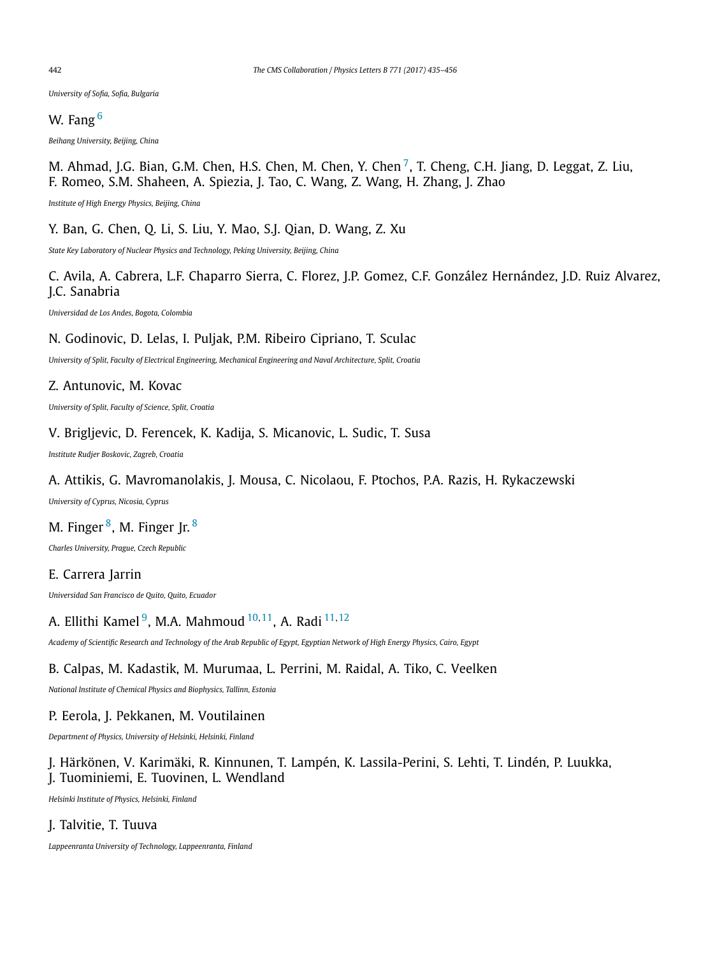*University of Sofia, Sofia, Bulgaria*

### W. Fang<sup>[6](#page-20-0)</sup>

*Beihang University, Beijing, China*

# M. Ahmad, J.G. Bian, G.M. Chen, H.S. Chen, M. Chen, Y. Chen<sup>7</sup>, T. Cheng, C.H. Jiang, D. Leggat, Z. Liu, F. Romeo, S.M. Shaheen, A. Spiezia, J. Tao, C. Wang, Z. Wang, H. Zhang, J. Zhao

*Institute of High Energy Physics, Beijing, China*

## Y. Ban, G. Chen, Q. Li, S. Liu, Y. Mao, S.J. Qian, D. Wang, Z. Xu

*State Key Laboratory of Nuclear Physics and Technology, Peking University, Beijing, China*

# C. Avila, A. Cabrera, L.F. Chaparro Sierra, C. Florez, J.P. Gomez, C.F. González Hernández, J.D. Ruiz Alvarez, J.C. Sanabria

*Universidad de Los Andes, Bogota, Colombia*

## N. Godinovic, D. Lelas, I. Puljak, P.M. Ribeiro Cipriano, T. Sculac

*University of Split, Faculty of Electrical Engineering, Mechanical Engineering and Naval Architecture, Split, Croatia*

# Z. Antunovic, M. Kovac

*University of Split, Faculty of Science, Split, Croatia*

# V. Brigljevic, D. Ferencek, K. Kadija, S. Micanovic, L. Sudic, T. Susa

*Institute Rudjer Boskovic, Zagreb, Croatia*

### A. Attikis, G. Mavromanolakis, J. Mousa, C. Nicolaou, F. Ptochos, P.A. Razis, H. Rykaczewski

*University of Cyprus, Nicosia, Cyprus*

# M. Finger  $\frac{8}{3}$  $\frac{8}{3}$  $\frac{8}{3}$ , M. Finger Jr.  $\frac{8}{3}$

*Charles University, Prague, Czech Republic*

### E. Carrera Jarrin

*Universidad San Francisco de Quito, Quito, Ecuador*

# A. Ellithi Kamel [9,](#page-20-0) M.A. Mahmoud [10](#page-20-0)*,*[11,](#page-20-0) A. Radi [11](#page-20-0)*,*[12](#page-20-0)

Academy of Scientific Research and Technology of the Arab Republic of Egypt, Egyptian Network of High Energy Physics, Cairo, Egypt

### B. Calpas, M. Kadastik, M. Murumaa, L. Perrini, M. Raidal, A. Tiko, C. Veelken

*National Institute of Chemical Physics and Biophysics, Tallinn, Estonia*

# P. Eerola, J. Pekkanen, M. Voutilainen

*Department of Physics, University of Helsinki, Helsinki, Finland*

# J. Härkönen, V. Karimäki, R. Kinnunen, T. Lampén, K. Lassila-Perini, S. Lehti, T. Lindén, P. Luukka, J. Tuominiemi, E. Tuovinen, L. Wendland

*Helsinki Institute of Physics, Helsinki, Finland*

# J. Talvitie, T. Tuuva

*Lappeenranta University of Technology, Lappeenranta, Finland*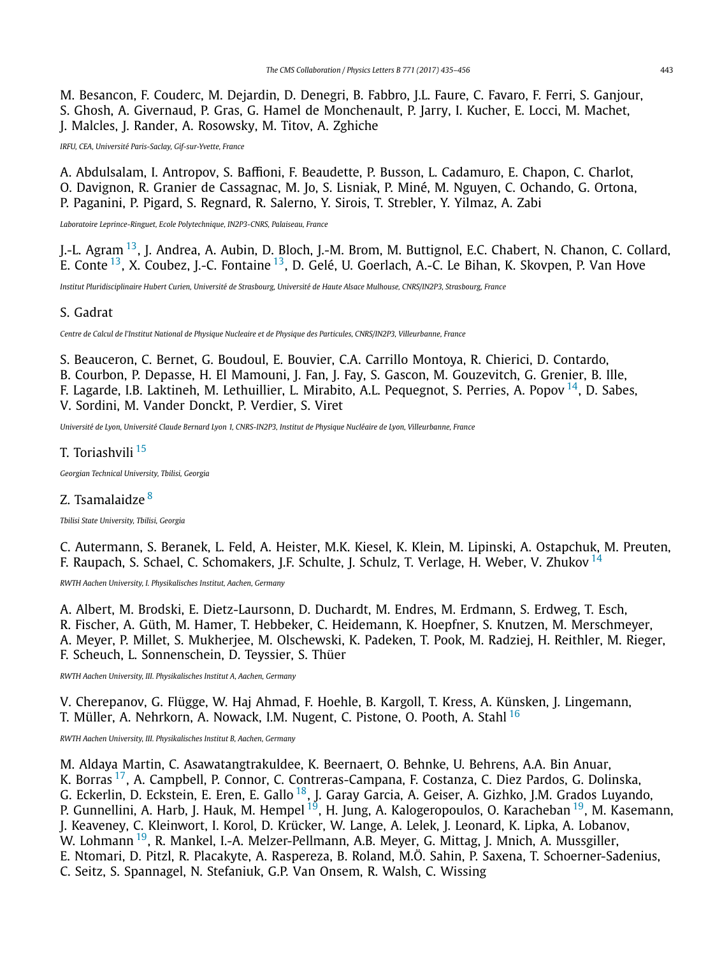M. Besancon, F. Couderc, M. Dejardin, D. Denegri, B. Fabbro, J.L. Faure, C. Favaro, F. Ferri, S. Ganjour, S. Ghosh, A. Givernaud, P. Gras, G. Hamel de Monchenault, P. Jarry, I. Kucher, E. Locci, M. Machet, J. Malcles, J. Rander, A. Rosowsky, M. Titov, A. Zghiche

*IRFU, CEA, Université Paris-Saclay, Gif-sur-Yvette, France*

A. Abdulsalam, I. Antropov, S. Baffioni, F. Beaudette, P. Busson, L. Cadamuro, E. Chapon, C. Charlot, O. Davignon, R. Granier de Cassagnac, M. Jo, S. Lisniak, P. Miné, M. Nguyen, C. Ochando, G. Ortona, P. Paganini, P. Pigard, S. Regnard, R. Salerno, Y. Sirois, T. Strebler, Y. Yilmaz, A. Zabi

*Laboratoire Leprince-Ringuet, Ecole Polytechnique, IN2P3-CNRS, Palaiseau, France*

J.-L. Agram [13,](#page-20-0) J. Andrea, A. Aubin, D. Bloch, J.-M. Brom, M. Buttignol, E.C. Chabert, N. Chanon, C. Collard, E. Conte [13,](#page-20-0) X. Coubez, J.-C. Fontaine [13](#page-20-0), D. Gelé, U. Goerlach, A.-C. Le Bihan, K. Skovpen, P. Van Hove

Institut Pluridisciplinaire Hubert Curien, Université de Strasbourg, Université de Haute Alsace Mulhouse, CNRS/IN2P3, Strasbourg, France

### S. Gadrat

Centre de Calcul de l'Institut National de Physique Nucleaire et de Physique des Particules, CNRS/IN2P3, Villeurbanne, France

S. Beauceron, C. Bernet, G. Boudoul, E. Bouvier, C.A. Carrillo Montoya, R. Chierici, D. Contardo, B. Courbon, P. Depasse, H. El Mamouni, J. Fan, J. Fay, S. Gascon, M. Gouzevitch, G. Grenier, B. Ille, F. Lagarde, I.B. Laktineh, M. Lethuillier, L. Mirabito, A.L. Pequegnot, S. Perries, A. Popov [14](#page-20-0), D. Sabes, V. Sordini, M. Vander Donckt, P. Verdier, S. Viret

Université de Lyon, Université Claude Bernard Lyon 1, CNRS-IN2P3, Institut de Physique Nucléaire de Lyon, Villeurbanne, France

# T. Toriashvili [15](#page-20-0)

*Georgian Technical University, Tbilisi, Georgia*

# Z. Tsamalaidze [8](#page-20-0)

*Tbilisi State University, Tbilisi, Georgia*

C. Autermann, S. Beranek, L. Feld, A. Heister, M.K. Kiesel, K. Klein, M. Lipinski, A. Ostapchuk, M. Preuten, F. Raupach, S. Schael, C. Schomakers, J.F. Schulte, J. Schulz, T. Verlage, H. Weber, V. Zhukov [14](#page-20-0)

*RWTH Aachen University, I. Physikalisches Institut, Aachen, Germany*

A. Albert, M. Brodski, E. Dietz-Laursonn, D. Duchardt, M. Endres, M. Erdmann, S. Erdweg, T. Esch, R. Fischer, A. Güth, M. Hamer, T. Hebbeker, C. Heidemann, K. Hoepfner, S. Knutzen, M. Merschmeyer, A. Meyer, P. Millet, S. Mukherjee, M. Olschewski, K. Padeken, T. Pook, M. Radziej, H. Reithler, M. Rieger, F. Scheuch, L. Sonnenschein, D. Teyssier, S. Thüer

*RWTH Aachen University, III. Physikalisches Institut A, Aachen, Germany*

V. Cherepanov, G. Flügge, W. Haj Ahmad, F. Hoehle, B. Kargoll, T. Kress, A. Künsken, J. Lingemann, T. Müller, A. Nehrkorn, A. Nowack, I.M. Nugent, C. Pistone, O. Pooth, A. Stahl [16](#page-20-0)

*RWTH Aachen University, III. Physikalisches Institut B, Aachen, Germany*

M. Aldaya Martin, C. Asawatangtrakuldee, K. Beernaert, O. Behnke, U. Behrens, A.A. Bin Anuar, K. Borras [17,](#page-20-0) A. Campbell, P. Connor, C. Contreras-Campana, F. Costanza, C. Diez Pardos, G. Dolinska, G. Eckerlin, D. Eckstein, E. Eren, E. Gallo <sup>18</sup>, J. Garay Garcia, A. Geiser, A. Gizhko, J.M. Grados Luyando, P. Gunnellini, A. Harb, J. Hauk, M. Hempel <sup>19</sup>, H. Jung, A. Kalogeropoulos, O. Karacheban <sup>19</sup>, M. Kasemann, J. Keaveney, C. Kleinwort, I. Korol, D. Krücker, W. Lange, A. Lelek, J. Leonard, K. Lipka, A. Lobanov, W. Lohmann [19,](#page-20-0) R. Mankel, I.-A. Melzer-Pellmann, A.B. Meyer, G. Mittag, J. Mnich, A. Mussgiller, E. Ntomari, D. Pitzl, R. Placakyte, A. Raspereza, B. Roland, M.Ö. Sahin, P. Saxena, T. Schoerner-Sadenius, C. Seitz, S. Spannagel, N. Stefaniuk, G.P. Van Onsem, R. Walsh, C. Wissing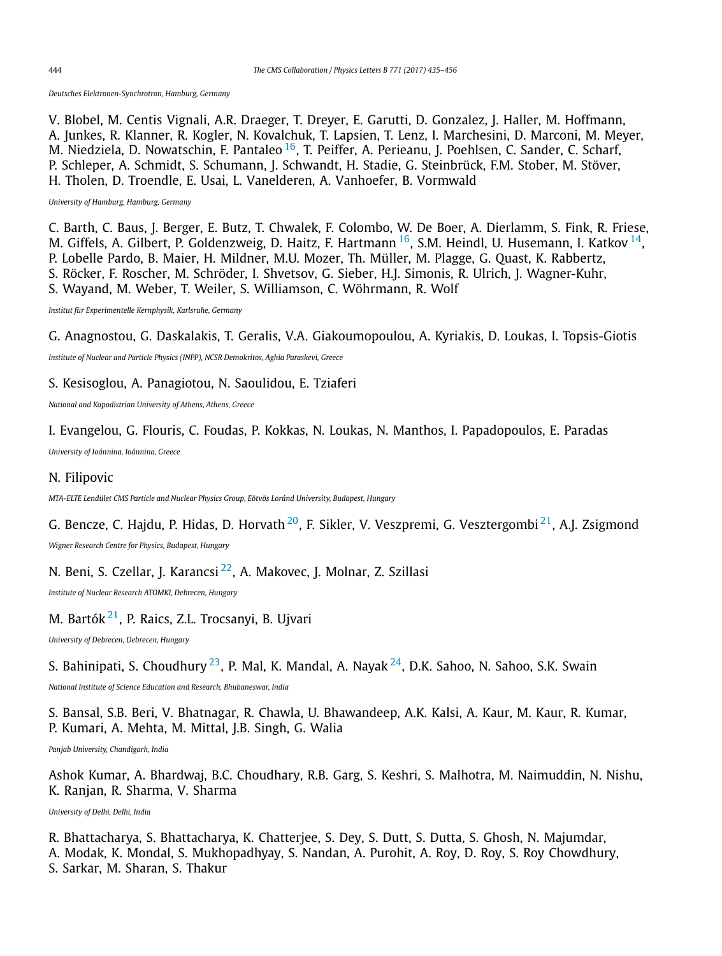*Deutsches Elektronen-Synchrotron, Hamburg, Germany*

V. Blobel, M. Centis Vignali, A.R. Draeger, T. Dreyer, E. Garutti, D. Gonzalez, J. Haller, M. Hoffmann, A. Junkes, R. Klanner, R. Kogler, N. Kovalchuk, T. Lapsien, T. Lenz, I. Marchesini, D. Marconi, M. Meyer, M. Niedziela, D. Nowatschin, F. Pantaleo [16,](#page-20-0) T. Peiffer, A. Perieanu, J. Poehlsen, C. Sander, C. Scharf, P. Schleper, A. Schmidt, S. Schumann, J. Schwandt, H. Stadie, G. Steinbrück, F.M. Stober, M. Stöver, H. Tholen, D. Troendle, E. Usai, L. Vanelderen, A. Vanhoefer, B. Vormwald

*University of Hamburg, Hamburg, Germany*

C. Barth, C. Baus, J. Berger, E. Butz, T. Chwalek, F. Colombo, W. De Boer, A. Dierlamm, S. Fink, R. Friese, M. Giffels, A. Gilbert, P. Goldenzweig, D. Haitz, F. Hartmann [16,](#page-20-0) S.M. Heindl, U. Husemann, I. Katkov [14,](#page-20-0) P. Lobelle Pardo, B. Maier, H. Mildner, M.U. Mozer, Th. Müller, M. Plagge, G. Quast, K. Rabbertz, S. Röcker, F. Roscher, M. Schröder, I. Shvetsov, G. Sieber, H.J. Simonis, R. Ulrich, J. Wagner-Kuhr, S. Wayand, M. Weber, T. Weiler, S. Williamson, C. Wöhrmann, R. Wolf

*Institut für Experimentelle Kernphysik, Karlsruhe, Germany*

G. Anagnostou, G. Daskalakis, T. Geralis, V.A. Giakoumopoulou, A. Kyriakis, D. Loukas, I. Topsis-Giotis

*Institute of Nuclear and Particle Physics (INPP), NCSR Demokritos, Aghia Paraskevi, Greece*

## S. Kesisoglou, A. Panagiotou, N. Saoulidou, E. Tziaferi

*National and Kapodistrian University of Athens, Athens, Greece*

I. Evangelou, G. Flouris, C. Foudas, P. Kokkas, N. Loukas, N. Manthos, I. Papadopoulos, E. Paradas

*University of Ioánnina, Ioánnina, Greece*

#### N. Filipovic

*MTA-ELTE Lendület CMS Particle and Nuclear Physics Group, Eötvös Loránd University, Budapest, Hungary*

G. Bencze, C. Hajdu, P. Hidas, D. Horvath [20](#page-20-0), F. Sikler, V. Veszpremi, G. Vesztergombi [21,](#page-20-0) A.J. Zsigmond *Wigner Research Centre for Physics, Budapest, Hungary*

N. Beni, S. Czellar, J. Karancsi [22,](#page-20-0) A. Makovec, J. Molnar, Z. Szillasi

*Institute of Nuclear Research ATOMKI, Debrecen, Hungary*

M. Bartók [21,](#page-20-0) P. Raics, Z.L. Trocsanyi, B. Ujvari

*University of Debrecen, Debrecen, Hungary*

```
S. Bahinipati, S. Choudhury<sup>23</sup>, P. Mal, K. Mandal, A. Nayak<sup>24</sup>, D.K. Sahoo, N. Sahoo, S.K. Swain
```
*National Institute of Science Education and Research, Bhubaneswar, India*

S. Bansal, S.B. Beri, V. Bhatnagar, R. Chawla, U. Bhawandeep, A.K. Kalsi, A. Kaur, M. Kaur, R. Kumar, P. Kumari, A. Mehta, M. Mittal, J.B. Singh, G. Walia

*Panjab University, Chandigarh, India*

Ashok Kumar, A. Bhardwaj, B.C. Choudhary, R.B. Garg, S. Keshri, S. Malhotra, M. Naimuddin, N. Nishu, K. Ranjan, R. Sharma, V. Sharma

*University of Delhi, Delhi, India*

R. Bhattacharya, S. Bhattacharya, K. Chatterjee, S. Dey, S. Dutt, S. Dutta, S. Ghosh, N. Majumdar, A. Modak, K. Mondal, S. Mukhopadhyay, S. Nandan, A. Purohit, A. Roy, D. Roy, S. Roy Chowdhury, S. Sarkar, M. Sharan, S. Thakur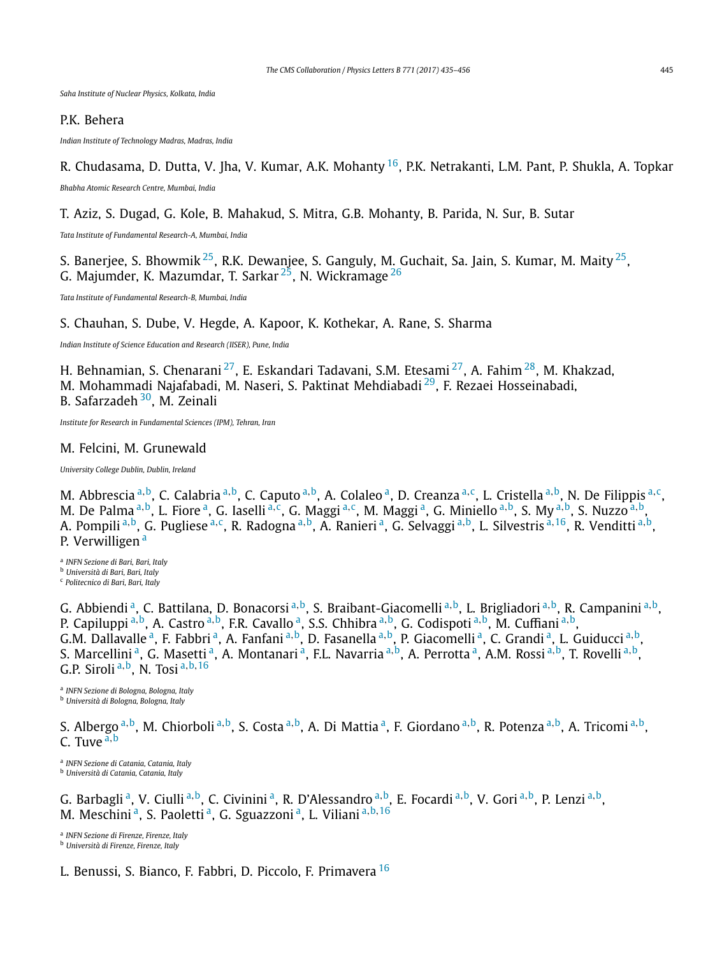*Saha Institute of Nuclear Physics, Kolkata, India*

### P.K. Behera

*Indian Institute of Technology Madras, Madras, India*

R. Chudasama, D. Dutta, V. Jha, V. Kumar, A.K. Mohanty <sup>16</sup>, P.K. Netrakanti, L.M. Pant, P. Shukla, A. Topkar

*Bhabha Atomic Research Centre, Mumbai, India*

T. Aziz, S. Dugad, G. Kole, B. Mahakud, S. Mitra, G.B. Mohanty, B. Parida, N. Sur, B. Sutar

*Tata Institute of Fundamental Research-A, Mumbai, India*

S. Banerjee, S. Bhowmik  $^{25}$ , R.K. Dewanjee, S. Ganguly, M. Guchait, Sa. Jain, S. Kumar, M. Maity  $^{25}$ , G. Majumder, K. Mazumdar, T. Sarkar  $^{25}$ , N. Wickramage  $^{26}$  $^{26}$  $^{26}$ 

*Tata Institute of Fundamental Research-B, Mumbai, India*

S. Chauhan, S. Dube, V. Hegde, A. Kapoor, K. Kothekar, A. Rane, S. Sharma

*Indian Institute of Science Education and Research (IISER), Pune, India*

H. Behnamian, S. Chenarani<sup>[27](#page-20-0)</sup>, E. Eskandari Tadavani, S.M. Etesami<sup>27</sup>, A. Fahim<sup>[28](#page-20-0)</sup>, M. Khakzad, M. Mohammadi Najafabadi, M. Naseri, S. Paktinat Mehdiabadi [29,](#page-20-0) F. Rezaei Hosseinabadi, B. Safarzadeh [30,](#page-20-0) M. Zeinali

*Institute for Research in Fundamental Sciences (IPM), Tehran, Iran*

#### M. Felcini, M. Grunewald

*University College Dublin, Dublin, Ireland*

M. Abbrescia <sup>a</sup>*,*b, C. Calabria <sup>a</sup>*,*b, C. Caputo <sup>a</sup>*,*b, A. Colaleo a, D. Creanza <sup>a</sup>*,*c, L. Cristella <sup>a</sup>*,*b, N. De Filippis <sup>a</sup>*,*c, M. De Palma <sup>a</sup>*,*b, L. Fiore a, G. Iaselli <sup>a</sup>*,*c, G. Maggi <sup>a</sup>*,*c, M. Maggi a, G. Miniello <sup>a</sup>*,*b, S. My <sup>a</sup>*,*b, S. Nuzzo <sup>a</sup>*,*b, A. Pompili <sup>a</sup>*,*b, G. Pugliese <sup>a</sup>*,*c, R. Radogna <sup>a</sup>*,*b, A. Ranieri a, G. Selvaggi <sup>a</sup>*,*b, L. Silvestris <sup>a</sup>*,*[16](#page-20-0), R. Venditti <sup>a</sup>*,*b, P. Verwilligen<sup>a</sup>

<sup>a</sup> *INFN Sezione di Bari, Bari, Italy*

<sup>b</sup> *Università di Bari, Bari, Italy* <sup>c</sup> *Politecnico di Bari, Bari, Italy*

G. Abbiendi a, C. Battilana, D. Bonacorsi <sup>a</sup>*,*b, S. Braibant-Giacomelli <sup>a</sup>*,*b, L. Brigliadori <sup>a</sup>*,*b, R. Campanini <sup>a</sup>*,*b, P. Capiluppi <sup>a</sup>*,*b, A. Castro <sup>a</sup>*,*b, F.R. Cavallo a, S.S. Chhibra <sup>a</sup>*,*b, G. Codispoti <sup>a</sup>*,*b, M. Cuffiani <sup>a</sup>*,*b, G.M. Dallavalle <sup>a</sup>, F. Fabbri <sup>a</sup>, A. Fanfani <sup>a,b</sup>, D. Fasanella <sup>a,b</sup>, P. Giacomelli <sup>a</sup>, C. Grandi <sup>a</sup>, L. Guiducci <sup>a,b</sup>, S. Marcellini <sup>a</sup>, G. Masetti <sup>a</sup>, A. Montanari <sup>a</sup>, F.L. Navarria <sup>a, b</sup>, A. Perrotta <sup>a</sup>, A.M. Rossi <sup>a, b</sup>, T. Rovelli <sup>a, b</sup>, G.P. Siroli <sup>a</sup>*,*b, N. Tosi <sup>a</sup>*,*b*,*[16](#page-20-0)

<sup>a</sup> *INFN Sezione di Bologna, Bologna, Italy*

<sup>b</sup> *Università di Bologna, Bologna, Italy*

S. Albergo <sup>a</sup>*,*b, M. Chiorboli <sup>a</sup>*,*b, S. Costa <sup>a</sup>*,*b, A. Di Mattia a, F. Giordano <sup>a</sup>*,*b, R. Potenza <sup>a</sup>*,*b, A. Tricomi <sup>a</sup>*,*b, C. Tuve  $\frac{a}{a}$ , b

<sup>a</sup> *INFN Sezione di Catania, Catania, Italy* <sup>b</sup> *Università di Catania, Catania, Italy*

G. Barbagli a, V. Ciulli <sup>a</sup>*,*b, C. Civinini a, R. D'Alessandro <sup>a</sup>*,*b, E. Focardi <sup>a</sup>*,*b, V. Gori <sup>a</sup>*,*b, P. Lenzi <sup>a</sup>*,*b, M. Meschini a, S. Paoletti a, G. Sguazzoni a, L. Viliani <sup>a</sup>*,*b*,*[16](#page-20-0)

<sup>a</sup> *INFN Sezione di Firenze, Firenze, Italy*

<sup>b</sup> *Università di Firenze, Firenze, Italy*

L. Benussi, S. Bianco, F. Fabbri, D. Piccolo, F. Primavera [16](#page-20-0)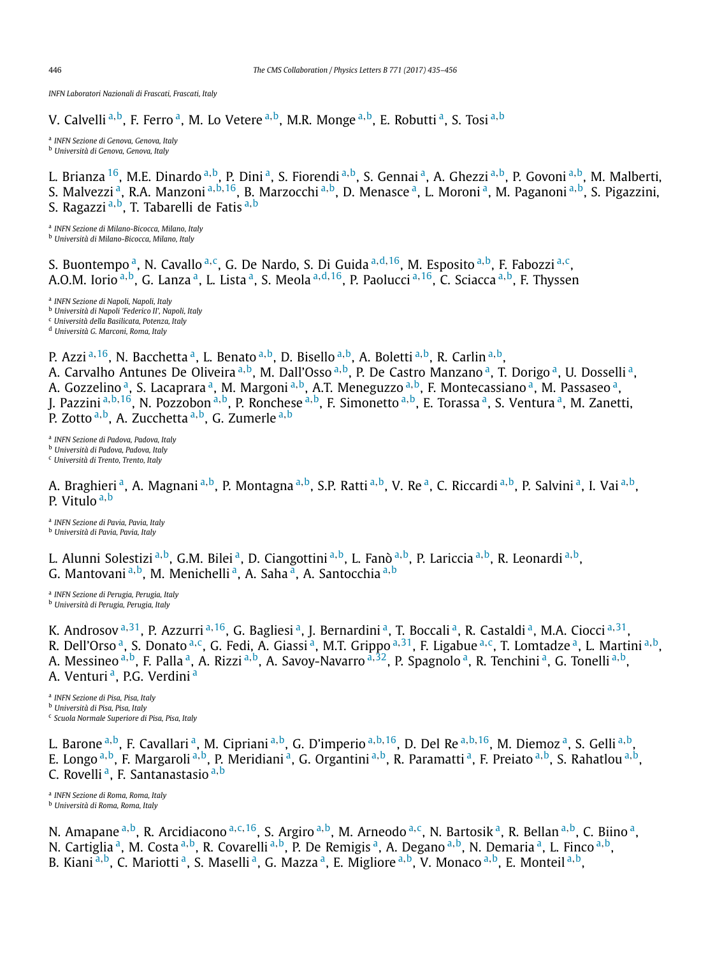*INFN Laboratori Nazionali di Frascati, Frascati, Italy*

V. Calvelli <sup>a</sup>*,*b, F. Ferro a, M. Lo Vetere <sup>a</sup>*,*b, M.R. Monge <sup>a</sup>*,*b, E. Robutti a, S. Tosi <sup>a</sup>*,*<sup>b</sup>

<sup>a</sup> *INFN Sezione di Genova, Genova, Italy* <sup>b</sup> *Università di Genova, Genova, Italy*

L. Brianza [16,](#page-20-0) M.E. Dinardo <sup>a</sup>*,*b, P. Dini a, S. Fiorendi <sup>a</sup>*,*b, S. Gennai a, A. Ghezzi <sup>a</sup>*,*b, P. Govoni <sup>a</sup>*,*b, M. Malberti, S. Malvezzi a, R.A. Manzoni <sup>a</sup>*,*b*,*[16,](#page-20-0) B. Marzocchi <sup>a</sup>*,*b, D. Menasce a, L. Moroni a, M. Paganoni <sup>a</sup>*,*b, S. Pigazzini, S. Ragazzi <sup>a</sup>*,*b, T. Tabarelli de Fatis <sup>a</sup>*,*<sup>b</sup>

<sup>a</sup> *INFN Sezione di Milano-Bicocca, Milano, Italy* <sup>b</sup> *Università di Milano-Bicocca, Milano, Italy*

S. Buontempo a, N. Cavallo <sup>a</sup>*,*c, G. De Nardo, S. Di Guida <sup>a</sup>*,*d*,*[16,](#page-20-0) M. Esposito <sup>a</sup>*,*b, F. Fabozzi <sup>a</sup>*,*c, A.O.M. Iorio <sup>a</sup>*,*b, G. Lanza a, L. Lista a, S. Meola <sup>a</sup>*,*d*,*[16,](#page-20-0) P. Paolucci <sup>a</sup>*,*[16,](#page-20-0) C. Sciacca <sup>a</sup>*,*b, F. Thyssen

<sup>a</sup> *INFN Sezione di Napoli, Napoli, Italy*

<sup>b</sup> *Università di Napoli 'Federico II', Napoli, Italy*

<sup>c</sup> *Università della Basilicata, Potenza, Italy* <sup>d</sup> *Università G. Marconi, Roma, Italy*

P. Azzi <sup>a</sup>*,*[16,](#page-20-0) N. Bacchetta a, L. Benato <sup>a</sup>*,*b, D. Bisello <sup>a</sup>*,*b, A. Boletti <sup>a</sup>*,*b, R. Carlin <sup>a</sup>*,*b,

A. Carvalho Antunes De Oliveira a, b, M. Dall'Osso a, b, P. De Castro Manzano <sup>a</sup>, T. Dorigo <sup>a</sup>, U. Dosselli <sup>a</sup>, A. Gozzelino <sup>a</sup>, S. Lacaprara <sup>a</sup>, M. Margoni <sup>a,b</sup>, A.T. Meneguzzo <sup>a,b</sup>, F. Montecassiano <sup>a</sup>, M. Passaseo <sup>a</sup>, J. Pazzini <sup>a</sup>*,*b*,*[16,](#page-20-0) N. Pozzobon <sup>a</sup>*,*b, P. Ronchese <sup>a</sup>*,*b, F. Simonetto <sup>a</sup>*,*b, E. Torassa a, S. Ventura a, M. Zanetti, P. Zotto <sup>a</sup>*,*b, A. Zucchetta <sup>a</sup>*,*b, G. Zumerle <sup>a</sup>*,*<sup>b</sup>

<sup>a</sup> *INFN Sezione di Padova, Padova, Italy*

<sup>b</sup> *Università di Padova, Padova, Italy*

<sup>c</sup> *Università di Trento, Trento, Italy*

A. Braghieri<sup>a</sup>, A. Magnani<sup>a,b</sup>, P. Montagna<sup>a,b</sup>, S.P. Ratti<sup>a,b</sup>, V. Re<sup>a</sup>, C. Riccardi<sup>a,b</sup>, P. Salvini<sup>a</sup>, I. Vai<sup>a,b</sup>, P. Vitulo <sup>a</sup>*,*<sup>b</sup>

<sup>a</sup> *INFN Sezione di Pavia, Pavia, Italy* <sup>b</sup> *Università di Pavia, Pavia, Italy*

L. Alunni Solestizi <sup>a</sup>*,*b, G.M. Bilei a, D. Ciangottini <sup>a</sup>*,*b, L. Fanò <sup>a</sup>*,*b, P. Lariccia <sup>a</sup>*,*b, R. Leonardi <sup>a</sup>*,*b, G. Mantovani <sup>a</sup>*,*b, M. Menichelli a, A. Saha a, A. Santocchia <sup>a</sup>*,*<sup>b</sup>

<sup>a</sup> *INFN Sezione di Perugia, Perugia, Italy* <sup>b</sup> *Università di Perugia, Perugia, Italy*

K. Androsov<sup>a,31</sup>, P. Azzurri<sup>a,[16](#page-20-0)</sup>, G. Bagliesi<sup>a</sup>, J. Bernardini<sup>a</sup>, T. Boccali<sup>a</sup>, R. Castaldi<sup>a</sup>, M.A. Ciocci<sup>a,31</sup>, R. Dell'Orso a, S. Donato <sup>a</sup>*,*c, G. Fedi, A. Giassi a, M.T. Grippo <sup>a</sup>*,*[31,](#page-20-0) F. Ligabue <sup>a</sup>*,*c, T. Lomtadze a, L. Martini <sup>a</sup>*,*b, A. Messineo a, b, F. Palla a, A. Rizzi a, b, A. Savoy-Navarro a<sup>3, 32</sup>, P. Spagnolo <sup>a</sup>, R. Tenchini <sup>a</sup>, G. Tonelli a, b, A. Venturi<sup>a</sup>. P.G. Verdini<sup>a</sup>

<sup>a</sup> *INFN Sezione di Pisa, Pisa, Italy*

<sup>b</sup> *Università di Pisa, Pisa, Italy*

<sup>c</sup> *Scuola Normale Superiore di Pisa, Pisa, Italy*

L. Barone <sup>a</sup>*,*b, F. Cavallari a, M. Cipriani <sup>a</sup>*,*b, G. D'imperio <sup>a</sup>*,*b*,*[16,](#page-20-0) D. Del Re <sup>a</sup>*,*b*,*[16,](#page-20-0) M. Diemoz a, S. Gelli <sup>a</sup>*,*b, E. Longo <sup>a</sup>*,*b, F. Margaroli <sup>a</sup>*,*b, P. Meridiani a, G. Organtini <sup>a</sup>*,*b, R. Paramatti a, F. Preiato <sup>a</sup>*,*b, S. Rahatlou <sup>a</sup>*,*b, C. Rovelli a, F. Santanastasio <sup>a</sup>*,*<sup>b</sup>

<sup>a</sup> *INFN Sezione di Roma, Roma, Italy*

<sup>b</sup> *Università di Roma, Roma, Italy*

N. Amapane [a](#page-12-0)*,*[b,](#page-12-0) R. Arcidiacono [a](#page-12-0)*,*[c](#page-12-0)*,*[16,](#page-20-0) S. Argiro [a](#page-12-0)*,*[b,](#page-12-0) M. Arneodo [a](#page-12-0)*,*[c,](#page-12-0) N. Bartosik [a,](#page-12-0) R. Bellan [a](#page-12-0)*,*[b,](#page-12-0) C. Biino [a,](#page-12-0) N. Cartiglia [a,](#page-12-0) M. Costa [a](#page-12-0)*,*[b,](#page-12-0) R. Covarelli [a](#page-12-0)*,*[b,](#page-12-0) P. De Remigis [a,](#page-12-0) A. Degano [a](#page-12-0)*,*[b,](#page-12-0) N. Demaria [a,](#page-12-0) L. Finco [a](#page-12-0)*,*[b,](#page-12-0) B. Kiani [a](#page-12-0)*,*[b,](#page-12-0) C. Mariotti [a,](#page-12-0) S. Maselli [a,](#page-12-0) G. Mazza [a,](#page-12-0) E. Migliore [a](#page-12-0)*,*[b,](#page-12-0) V. Monaco [a](#page-12-0)*,*[b,](#page-12-0) E. Monteil [a](#page-12-0)*,*[b,](#page-12-0)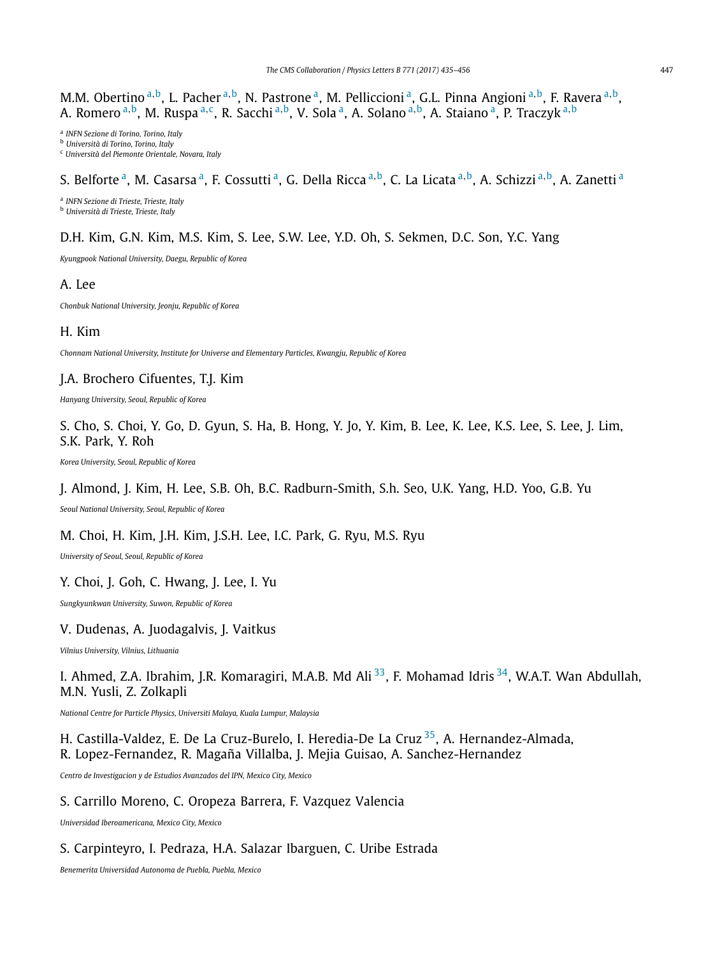<span id="page-12-0"></span>M.M. Obertino <sup>a</sup>*,*b, L. Pacher <sup>a</sup>*,*b, N. Pastrone a, M. Pelliccioni a, G.L. Pinna Angioni <sup>a</sup>*,*b, F. Ravera <sup>a</sup>*,*b, A. Romero <sup>a</sup>*,*b, M. Ruspa <sup>a</sup>*,*c, R. Sacchi <sup>a</sup>*,*b, V. Sola a, A. Solano <sup>a</sup>*,*b, A. Staiano a, P. Traczyk <sup>a</sup>*,*<sup>b</sup>

<sup>a</sup> *INFN Sezione di Torino, Torino, Italy*

<sup>b</sup> *Università di Torino, Torino, Italy*

<sup>c</sup> *Università del Piemonte Orientale, Novara, Italy*

# S. Belforte a, M. Casarsa a, F. Cossutti a, G. Della Ricca <sup>a</sup>*,*b, C. La Licata <sup>a</sup>*,*b, A. Schizzi <sup>a</sup>*,*b, A. Zanetti <sup>a</sup>

<sup>a</sup> *INFN Sezione di Trieste, Trieste, Italy*

<sup>b</sup> *Università di Trieste, Trieste, Italy*

#### D.H. Kim, G.N. Kim, M.S. Kim, S. Lee, S.W. Lee, Y.D. Oh, S. Sekmen, D.C. Son, Y.C. Yang

*Kyungpook National University, Daegu, Republic of Korea*

#### A. Lee

*Chonbuk National University, Jeonju, Republic of Korea*

#### H. Kim

*Chonnam National University, Institute for Universe and Elementary Particles, Kwangju, Republic of Korea*

## J.A. Brochero Cifuentes, T.J. Kim

*Hanyang University, Seoul, Republic of Korea*

S. Cho, S. Choi, Y. Go, D. Gyun, S. Ha, B. Hong, Y. Jo, Y. Kim, B. Lee, K. Lee, K.S. Lee, S. Lee, J. Lim, S.K. Park, Y. Roh

*Korea University, Seoul, Republic of Korea*

#### J. Almond, J. Kim, H. Lee, S.B. Oh, B.C. Radburn-Smith, S.h. Seo, U.K. Yang, H.D. Yoo, G.B. Yu

*Seoul National University, Seoul, Republic of Korea*

#### M. Choi, H. Kim, J.H. Kim, J.S.H. Lee, I.C. Park, G. Ryu, M.S. Ryu

*University of Seoul, Seoul, Republic of Korea*

### Y. Choi, J. Goh, C. Hwang, J. Lee, I. Yu

*Sungkyunkwan University, Suwon, Republic of Korea*

#### V. Dudenas, A. Juodagalvis, J. Vaitkus

*Vilnius University, Vilnius, Lithuania*

# I. Ahmed, Z.A. Ibrahim, J.R. Komaragiri, M.A.B. Md Ali  $^{33}$ , F. Mohamad Idris  $^{34}$ , W.A.T. Wan Abdullah, M.N. Yusli, Z. Zolkapli

*National Centre for Particle Physics, Universiti Malaya, Kuala Lumpur, Malaysia*

H. Castilla-Valdez, E. De La Cruz-Burelo, I. Heredia-De La Cruz<sup>35</sup>, A. Hernandez-Almada, R. Lopez-Fernandez, R. Magaña Villalba, J. Mejia Guisao, A. Sanchez-Hernandez

*Centro de Investigacion y de Estudios Avanzados del IPN, Mexico City, Mexico*

### S. Carrillo Moreno, C. Oropeza Barrera, F. Vazquez Valencia

*Universidad Iberoamericana, Mexico City, Mexico*

### S. Carpinteyro, I. Pedraza, H.A. Salazar Ibarguen, C. Uribe Estrada

*Benemerita Universidad Autonoma de Puebla, Puebla, Mexico*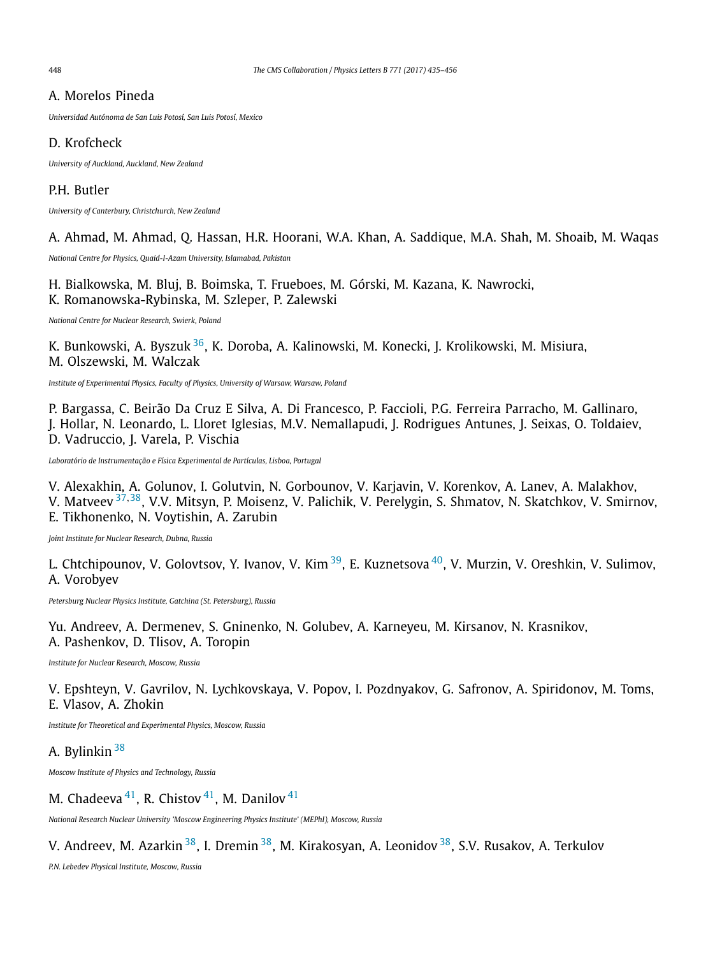## A. Morelos Pineda

*Universidad Autónoma de San Luis Potosí, San Luis Potosí, Mexico*

#### D. Krofcheck

*University of Auckland, Auckland, New Zealand*

### P.H. Butler

*University of Canterbury, Christchurch, New Zealand*

A. Ahmad, M. Ahmad, Q. Hassan, H.R. Hoorani, W.A. Khan, A. Saddique, M.A. Shah, M. Shoaib, M. Waqas

*National Centre for Physics, Quaid-I-Azam University, Islamabad, Pakistan*

H. Bialkowska, M. Bluj, B. Boimska, T. Frueboes, M. Górski, M. Kazana, K. Nawrocki, K. Romanowska-Rybinska, M. Szleper, P. Zalewski

*National Centre for Nuclear Research, Swierk, Poland*

K. Bunkowski, A. Byszuk [36](#page-20-0), K. Doroba, A. Kalinowski, M. Konecki, J. Krolikowski, M. Misiura, M. Olszewski, M. Walczak

*Institute of Experimental Physics, Faculty of Physics, University of Warsaw, Warsaw, Poland*

P. Bargassa, C. Beirão Da Cruz E Silva, A. Di Francesco, P. Faccioli, P.G. Ferreira Parracho, M. Gallinaro, J. Hollar, N. Leonardo, L. Lloret Iglesias, M.V. Nemallapudi, J. Rodrigues Antunes, J. Seixas, O. Toldaiev, D. Vadruccio, J. Varela, P. Vischia

*Laboratório de Instrumentação e Física Experimental de Partículas, Lisboa, Portugal*

V. Alexakhin, A. Golunov, I. Golutvin, N. Gorbounov, V. Karjavin, V. Korenkov, A. Lanev, A. Malakhov, V. Matveev [37](#page-20-0)*,*[38,](#page-20-0) V.V. Mitsyn, P. Moisenz, V. Palichik, V. Perelygin, S. Shmatov, N. Skatchkov, V. Smirnov, E. Tikhonenko, N. Voytishin, A. Zarubin

*Joint Institute for Nuclear Research, Dubna, Russia*

L. Chtchipounov, V. Golovtsov, Y. Ivanov, V. Kim<sup>39</sup>, E. Kuznetsova <sup>40</sup>, V. Murzin, V. Oreshkin, V. Sulimov, A. Vorobyev

*Petersburg Nuclear Physics Institute, Gatchina (St. Petersburg), Russia*

Yu. Andreev, A. Dermenev, S. Gninenko, N. Golubev, A. Karneyeu, M. Kirsanov, N. Krasnikov, A. Pashenkov, D. Tlisov, A. Toropin

*Institute for Nuclear Research, Moscow, Russia*

V. Epshteyn, V. Gavrilov, N. Lychkovskaya, V. Popov, I. Pozdnyakov, G. Safronov, A. Spiridonov, M. Toms, E. Vlasov, A. Zhokin

*Institute for Theoretical and Experimental Physics, Moscow, Russia*

### A. Bylinkin [38](#page-20-0)

*Moscow Institute of Physics and Technology, Russia*

M. Chadeeva  $41$ , R. Chistov  $41$ , M. Danilov  $41$ 

*National Research Nuclear University 'Moscow Engineering Physics Institute' (MEPhI), Moscow, Russia*

V. Andreev, M. Azarkin [38,](#page-20-0) I. Dremin [38,](#page-20-0) M. Kirakosyan, A. Leonidov [38,](#page-20-0) S.V. Rusakov, A. Terkulov

*P.N. Lebedev Physical Institute, Moscow, Russia*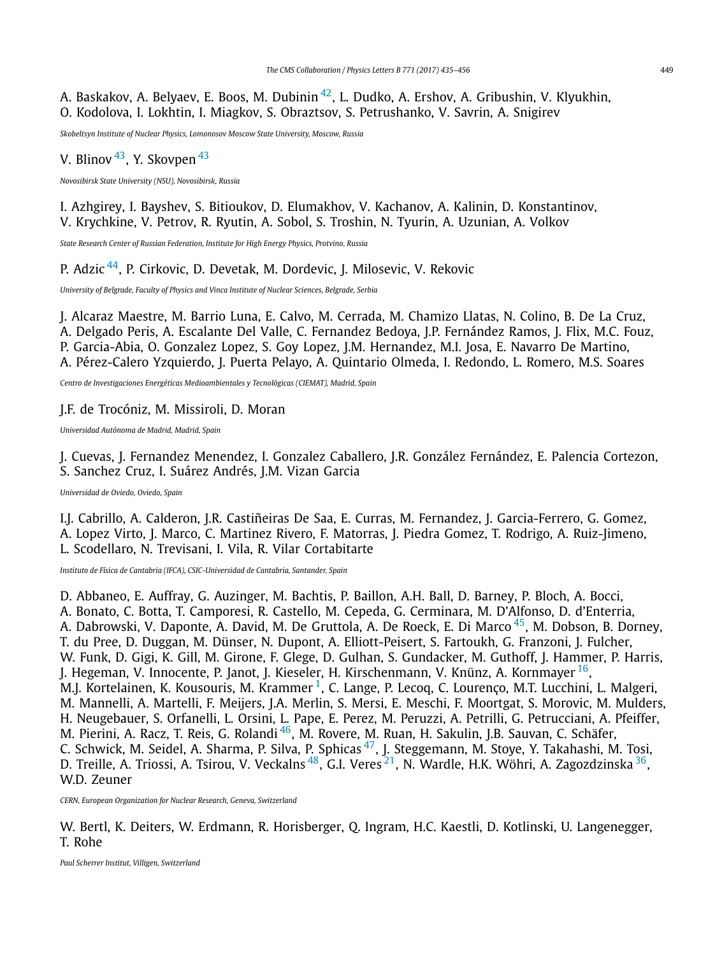A. Baskakov, A. Belyaev, E. Boos, M. Dubinin<sup>42</sup>, L. Dudko, A. Ershov, A. Gribushin, V. Klyukhin, O. Kodolova, I. Lokhtin, I. Miagkov, S. Obraztsov, S. Petrushanko, V. Savrin, A. Snigirev

*Skobeltsyn Institute of Nuclear Physics, Lomonosov Moscow State University, Moscow, Russia*

## V. Blinov  $43$ , Y. Skovpen  $43$

*Novosibirsk State University (NSU), Novosibirsk, Russia*

I. Azhgirey, I. Bayshev, S. Bitioukov, D. Elumakhov, V. Kachanov, A. Kalinin, D. Konstantinov, V. Krychkine, V. Petrov, R. Ryutin, A. Sobol, S. Troshin, N. Tyurin, A. Uzunian, A. Volkov

*State Research Center of Russian Federation, Institute for High Energy Physics, Protvino, Russia*

P. Adzic [44,](#page-20-0) P. Cirkovic, D. Devetak, M. Dordevic, J. Milosevic, V. Rekovic

*University of Belgrade, Faculty of Physics and Vinca Institute of Nuclear Sciences, Belgrade, Serbia*

J. Alcaraz Maestre, M. Barrio Luna, E. Calvo, M. Cerrada, M. Chamizo Llatas, N. Colino, B. De La Cruz, A. Delgado Peris, A. Escalante Del Valle, C. Fernandez Bedoya, J.P. Fernández Ramos, J. Flix, M.C. Fouz, P. Garcia-Abia, O. Gonzalez Lopez, S. Goy Lopez, J.M. Hernandez, M.I. Josa, E. Navarro De Martino, A. Pérez-Calero Yzquierdo, J. Puerta Pelayo, A. Quintario Olmeda, I. Redondo, L. Romero, M.S. Soares

*Centro de Investigaciones Energéticas Medioambientales y Tecnológicas (CIEMAT), Madrid, Spain*

J.F. de Trocóniz, M. Missiroli, D. Moran

*Universidad Autónoma de Madrid, Madrid, Spain*

J. Cuevas, J. Fernandez Menendez, I. Gonzalez Caballero, J.R. González Fernández, E. Palencia Cortezon, S. Sanchez Cruz, I. Suárez Andrés, J.M. Vizan Garcia

*Universidad de Oviedo, Oviedo, Spain*

I.J. Cabrillo, A. Calderon, J.R. Castiñeiras De Saa, E. Curras, M. Fernandez, J. Garcia-Ferrero, G. Gomez, A. Lopez Virto, J. Marco, C. Martinez Rivero, F. Matorras, J. Piedra Gomez, T. Rodrigo, A. Ruiz-Jimeno, L. Scodellaro, N. Trevisani, I. Vila, R. Vilar Cortabitarte

*Instituto de Física de Cantabria (IFCA), CSIC-Universidad de Cantabria, Santander, Spain*

D. Abbaneo, E. Auffray, G. Auzinger, M. Bachtis, P. Baillon, A.H. Ball, D. Barney, P. Bloch, A. Bocci, A. Bonato, C. Botta, T. Camporesi, R. Castello, M. Cepeda, G. Cerminara, M. D'Alfonso, D. d'Enterria, A. Dabrowski, V. Daponte, A. David, M. De Gruttola, A. De Roeck, E. Di Marco [45,](#page-20-0) M. Dobson, B. Dorney, T. du Pree, D. Duggan, M. Dünser, N. Dupont, A. Elliott-Peisert, S. Fartoukh, G. Franzoni, J. Fulcher, W. Funk, D. Gigi, K. Gill, M. Girone, F. Glege, D. Gulhan, S. Gundacker, M. Guthoff, J. Hammer, P. Harris, J. Hegeman, V. Innocente, P. Janot, J. Kieseler, H. Kirschenmann, V. Knünz, A. Kornmayer <sup>[16](#page-20-0)</sup>, M.J. Kortelainen, K. Kousouris, M. Krammer<sup>[1](#page-20-0)</sup>, C. Lange, P. Lecoq, C. Lourenco, M.T. Lucchini, L. Malgeri, M. Mannelli, A. Martelli, F. Meijers, J.A. Merlin, S. Mersi, E. Meschi, F. Moortgat, S. Morovic, M. Mulders, H. Neugebauer, S. Orfanelli, L. Orsini, L. Pape, E. Perez, M. Peruzzi, A. Petrilli, G. Petrucciani, A. Pfeiffer, M. Pierini, A. Racz, T. Reis, G. Rolandi <sup>46</sup>, M. Rovere, M. Ruan, H. Sakulin, J.B. Sauvan, C. Schäfer, C. Schwick, M. Seidel, A. Sharma, P. Silva, P. Sphicas [47](#page-20-0), J. Steggemann, M. Stoye, Y. Takahashi, M. Tosi, D. Treille, A. Triossi, A. Tsirou, V. Veckalns <sup>48</sup>, G.I. Veres <sup>[21](#page-20-0)</sup>, N. Wardle, H.K. Wöhri, A. Zagozdzinska <sup>36</sup>, W.D. Zeuner

*CERN, European Organization for Nuclear Research, Geneva, Switzerland*

W. Bertl, K. Deiters, W. Erdmann, R. Horisberger, Q. Ingram, H.C. Kaestli, D. Kotlinski, U. Langenegger, T. Rohe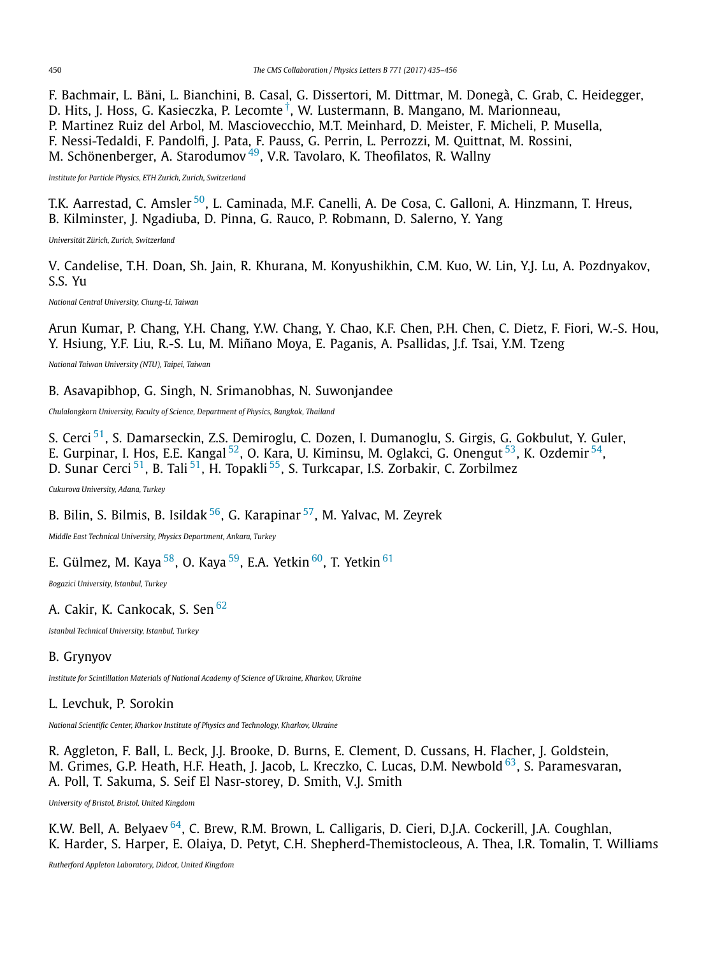F. Bachmair, L. Bäni, L. Bianchini, B. Casal, G. Dissertori, M. Dittmar, M. Donegà, C. Grab, C. Heidegger, D. Hits, J. Hoss, G. Kasieczka, P. Lecomte [†,](#page-20-0) W. Lustermann, B. Mangano, M. Marionneau, P. Martinez Ruiz del Arbol, M. Masciovecchio, M.T. Meinhard, D. Meister, F. Micheli, P. Musella, F. Nessi-Tedaldi, F. Pandolfi, J. Pata, F. Pauss, G. Perrin, L. Perrozzi, M. Quittnat, M. Rossini, M. Schönenberger, A. Starodumov<sup>[49](#page-20-0)</sup>, V.R. Tavolaro, K. Theofilatos, R. Wallny

*Institute for Particle Physics, ETH Zurich, Zurich, Switzerland*

T.K. Aarrestad, C. Amsler <sup>50</sup>, L. Caminada, M.F. Canelli, A. De Cosa, C. Galloni, A. Hinzmann, T. Hreus, B. Kilminster, J. Ngadiuba, D. Pinna, G. Rauco, P. Robmann, D. Salerno, Y. Yang

*Universität Zürich, Zurich, Switzerland*

V. Candelise, T.H. Doan, Sh. Jain, R. Khurana, M. Konyushikhin, C.M. Kuo, W. Lin, Y.J. Lu, A. Pozdnyakov, S.S. Yu

*National Central University, Chung-Li, Taiwan*

Arun Kumar, P. Chang, Y.H. Chang, Y.W. Chang, Y. Chao, K.F. Chen, P.H. Chen, C. Dietz, F. Fiori, W.-S. Hou, Y. Hsiung, Y.F. Liu, R.-S. Lu, M. Miñano Moya, E. Paganis, A. Psallidas, J.f. Tsai, Y.M. Tzeng

*National Taiwan University (NTU), Taipei, Taiwan*

B. Asavapibhop, G. Singh, N. Srimanobhas, N. Suwonjandee

*Chulalongkorn University, Faculty of Science, Department of Physics, Bangkok, Thailand*

S. Cerci [51,](#page-20-0) S. Damarseckin, Z.S. Demiroglu, C. Dozen, I. Dumanoglu, S. Girgis, G. Gokbulut, Y. Guler, E. Gurpinar, I. Hos, E.E. Kangal <sup>[52](#page-20-0)</sup>, O. Kara, U. Kiminsu, M. Oglakci, G. Onengut <sup>53</sup>, K. Ozdemir <sup>54</sup>, D. Sunar Cerci [51,](#page-20-0) B. Tali [51,](#page-20-0) H. Topakli [55,](#page-20-0) S. Turkcapar, I.S. Zorbakir, C. Zorbilmez

*Cukurova University, Adana, Turkey*

# B. Bilin, S. Bilmis, B. Isildak  $56$ , G. Karapinar  $57$ , M. Yalvac, M. Zeyrek

*Middle East Technical University, Physics Department, Ankara, Turkey*

# E. Gülmez, M. Kaya  $^{58}$  $^{58}$  $^{58}$ , O. Kaya  $^{59}$ , E.A. Yetkin  $^{60}$ , T. Yetkin  $^{61}$  $^{61}$  $^{61}$

*Bogazici University, Istanbul, Turkey*

#### A. Cakir, K. Cankocak, S. Sen <sup>[62](#page-21-0)</sup>

*Istanbul Technical University, Istanbul, Turkey*

#### B. Grynyov

*Institute for Scintillation Materials of National Academy of Science of Ukraine, Kharkov, Ukraine*

#### L. Levchuk, P. Sorokin

*National Scientific Center, Kharkov Institute of Physics and Technology, Kharkov, Ukraine*

R. Aggleton, F. Ball, L. Beck, J.J. Brooke, D. Burns, E. Clement, D. Cussans, H. Flacher, J. Goldstein, M. Grimes, G.P. Heath, H.F. Heath, J. Jacob, L. Kreczko, C. Lucas, D.M. Newbold <sup>63</sup>, S. Paramesvaran, A. Poll, T. Sakuma, S. Seif El Nasr-storey, D. Smith, V.J. Smith

*University of Bristol, Bristol, United Kingdom*

K.W. Bell, A. Belyaev <sup>64</sup>, C. Brew, R.M. Brown, L. Calligaris, D. Cieri, D.J.A. Cockerill, J.A. Coughlan, K. Harder, S. Harper, E. Olaiya, D. Petyt, C.H. Shepherd-Themistocleous, A. Thea, I.R. Tomalin, T. Williams

*Rutherford Appleton Laboratory, Didcot, United Kingdom*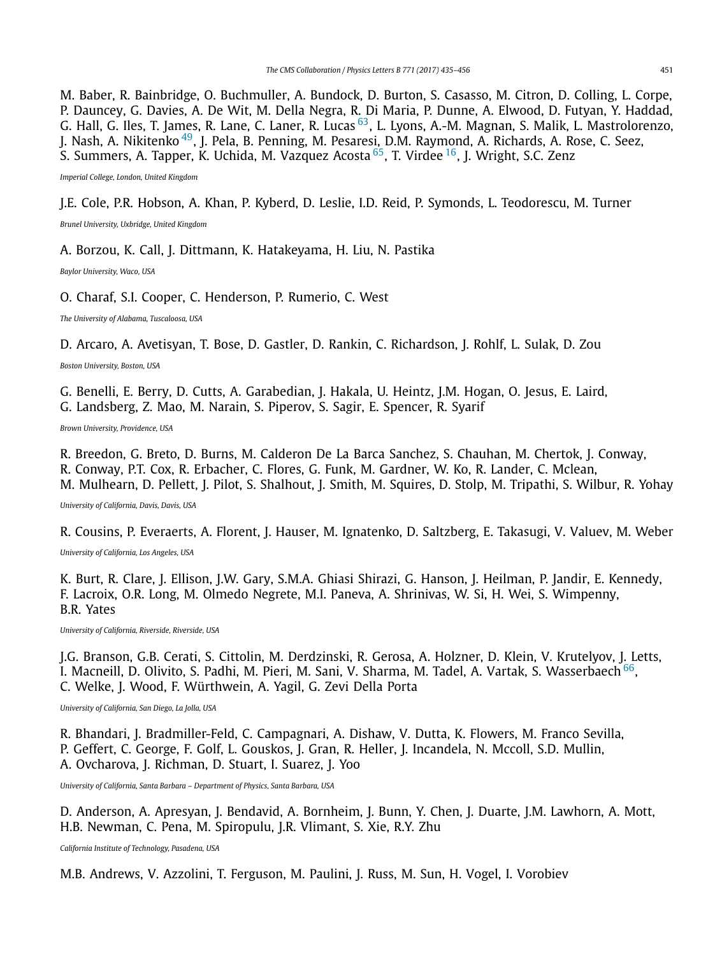M. Baber, R. Bainbridge, O. Buchmuller, A. Bundock, D. Burton, S. Casasso, M. Citron, D. Colling, L. Corpe, P. Dauncey, G. Davies, A. De Wit, M. Della Negra, R. Di Maria, P. Dunne, A. Elwood, D. Futyan, Y. Haddad, G. Hall, G. Iles, T. James, R. Lane, C. Laner, R. Lucas <sup>63</sup>, L. Lyons, A.-M. Magnan, S. Malik, L. Mastrolorenzo, J. Nash, A. Nikitenko <sup>49</sup>, J. Pela, B. Penning, M. Pesaresi, D.M. Raymond, A. Richards, A. Rose, C. Seez, S. Summers, A. Tapper, K. Uchida, M. Vazquez Acosta <sup>65</sup>, T. Virdee <sup>[16](#page-20-0)</sup>, J. Wright, S.C. Zenz

*Imperial College, London, United Kingdom*

J.E. Cole, P.R. Hobson, A. Khan, P. Kyberd, D. Leslie, I.D. Reid, P. Symonds, L. Teodorescu, M. Turner

*Brunel University, Uxbridge, United Kingdom*

A. Borzou, K. Call, J. Dittmann, K. Hatakeyama, H. Liu, N. Pastika

*Baylor University, Waco, USA*

O. Charaf, S.I. Cooper, C. Henderson, P. Rumerio, C. West

*The University of Alabama, Tuscaloosa, USA*

D. Arcaro, A. Avetisyan, T. Bose, D. Gastler, D. Rankin, C. Richardson, J. Rohlf, L. Sulak, D. Zou

*Boston University, Boston, USA*

G. Benelli, E. Berry, D. Cutts, A. Garabedian, J. Hakala, U. Heintz, J.M. Hogan, O. Jesus, E. Laird, G. Landsberg, Z. Mao, M. Narain, S. Piperov, S. Sagir, E. Spencer, R. Syarif

*Brown University, Providence, USA*

R. Breedon, G. Breto, D. Burns, M. Calderon De La Barca Sanchez, S. Chauhan, M. Chertok, J. Conway, R. Conway, P.T. Cox, R. Erbacher, C. Flores, G. Funk, M. Gardner, W. Ko, R. Lander, C. Mclean, M. Mulhearn, D. Pellett, J. Pilot, S. Shalhout, J. Smith, M. Squires, D. Stolp, M. Tripathi, S. Wilbur, R. Yohay

*University of California, Davis, Davis, USA*

R. Cousins, P. Everaerts, A. Florent, J. Hauser, M. Ignatenko, D. Saltzberg, E. Takasugi, V. Valuev, M. Weber *University of California, Los Angeles, USA*

K. Burt, R. Clare, J. Ellison, J.W. Gary, S.M.A. Ghiasi Shirazi, G. Hanson, J. Heilman, P. Jandir, E. Kennedy, F. Lacroix, O.R. Long, M. Olmedo Negrete, M.I. Paneva, A. Shrinivas, W. Si, H. Wei, S. Wimpenny,

*University of California, Riverside, Riverside, USA*

B.R. Yates

J.G. Branson, G.B. Cerati, S. Cittolin, M. Derdzinski, R. Gerosa, A. Holzner, D. Klein, V. Krutelyov, J. Letts, I. Macneill, D. Olivito, S. Padhi, M. Pieri, M. Sani, V. Sharma, M. Tadel, A. Vartak, S. Wasserbaech <sup>[66](#page-21-0)</sup>, C. Welke, J. Wood, F. Würthwein, A. Yagil, G. Zevi Della Porta

*University of California, San Diego, La Jolla, USA*

R. Bhandari, J. Bradmiller-Feld, C. Campagnari, A. Dishaw, V. Dutta, K. Flowers, M. Franco Sevilla, P. Geffert, C. George, F. Golf, L. Gouskos, J. Gran, R. Heller, J. Incandela, N. Mccoll, S.D. Mullin, A. Ovcharova, J. Richman, D. Stuart, I. Suarez, J. Yoo

*University of California, Santa Barbara – Department of Physics, Santa Barbara, USA*

D. Anderson, A. Apresyan, J. Bendavid, A. Bornheim, J. Bunn, Y. Chen, J. Duarte, J.M. Lawhorn, A. Mott, H.B. Newman, C. Pena, M. Spiropulu, J.R. Vlimant, S. Xie, R.Y. Zhu

*California Institute of Technology, Pasadena, USA*

M.B. Andrews, V. Azzolini, T. Ferguson, M. Paulini, J. Russ, M. Sun, H. Vogel, I. Vorobiev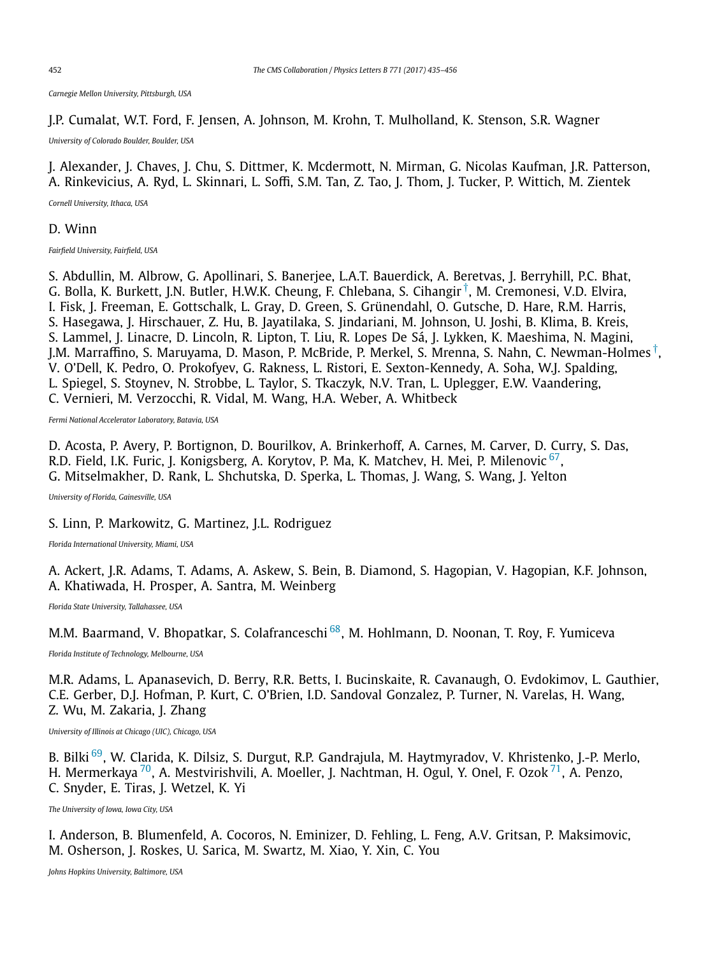*Carnegie Mellon University, Pittsburgh, USA*

# J.P. Cumalat, W.T. Ford, F. Jensen, A. Johnson, M. Krohn, T. Mulholland, K. Stenson, S.R. Wagner

*University of Colorado Boulder, Boulder, USA*

J. Alexander, J. Chaves, J. Chu, S. Dittmer, K. Mcdermott, N. Mirman, G. Nicolas Kaufman, J.R. Patterson, A. Rinkevicius, A. Ryd, L. Skinnari, L. Soffi, S.M. Tan, Z. Tao, J. Thom, J. Tucker, P. Wittich, M. Zientek

*Cornell University, Ithaca, USA*

#### D. Winn

*Fairfield University, Fairfield, USA*

S. Abdullin, M. Albrow, G. Apollinari, S. Banerjee, L.A.T. Bauerdick, A. Beretvas, J. Berryhill, P.C. Bhat, G. Bolla, K. Burkett, J.N. Butler, H.W.K. Cheung, F. Chlebana, S. Cihangir [†](#page-20-0), M. Cremonesi, V.D. Elvira, I. Fisk, J. Freeman, E. Gottschalk, L. Gray, D. Green, S. Grünendahl, O. Gutsche, D. Hare, R.M. Harris, S. Hasegawa, J. Hirschauer, Z. Hu, B. Jayatilaka, S. Jindariani, M. Johnson, U. Joshi, B. Klima, B. Kreis, S. Lammel, J. Linacre, D. Lincoln, R. Lipton, T. Liu, R. Lopes De Sá, J. Lykken, K. Maeshima, N. Magini, J.M. Marraffino, S. Maruyama, D. Mason, P. McBride, P. Merkel, S. Mrenna, S. Nahn, C. Newman-Holmes [†,](#page-20-0) V. O'Dell, K. Pedro, O. Prokofyev, G. Rakness, L. Ristori, E. Sexton-Kennedy, A. Soha, W.J. Spalding, L. Spiegel, S. Stoynev, N. Strobbe, L. Taylor, S. Tkaczyk, N.V. Tran, L. Uplegger, E.W. Vaandering, C. Vernieri, M. Verzocchi, R. Vidal, M. Wang, H.A. Weber, A. Whitbeck

*Fermi National Accelerator Laboratory, Batavia, USA*

D. Acosta, P. Avery, P. Bortignon, D. Bourilkov, A. Brinkerhoff, A. Carnes, M. Carver, D. Curry, S. Das, R.D. Field, I.K. Furic, J. Konigsberg, A. Korytov, P. Ma, K. Matchev, H. Mei, P. Milenovic [67](#page-21-0), G. Mitselmakher, D. Rank, L. Shchutska, D. Sperka, L. Thomas, J. Wang, S. Wang, J. Yelton

*University of Florida, Gainesville, USA*

S. Linn, P. Markowitz, G. Martinez, J.L. Rodriguez

*Florida International University, Miami, USA*

A. Ackert, J.R. Adams, T. Adams, A. Askew, S. Bein, B. Diamond, S. Hagopian, V. Hagopian, K.F. Johnson, A. Khatiwada, H. Prosper, A. Santra, M. Weinberg

*Florida State University, Tallahassee, USA*

M.M. Baarmand, V. Bhopatkar, S. Colafranceschi<sup>68</sup>, M. Hohlmann, D. Noonan, T. Roy, F. Yumiceva

*Florida Institute of Technology, Melbourne, USA*

M.R. Adams, L. Apanasevich, D. Berry, R.R. Betts, I. Bucinskaite, R. Cavanaugh, O. Evdokimov, L. Gauthier, C.E. Gerber, D.J. Hofman, P. Kurt, C. O'Brien, I.D. Sandoval Gonzalez, P. Turner, N. Varelas, H. Wang, Z. Wu, M. Zakaria, J. Zhang

*University of Illinois at Chicago (UIC), Chicago, USA*

B. Bilki<sup>69</sup>, W. Clarida, K. Dilsiz, S. Durgut, R.P. Gandrajula, M. Haytmyradov, V. Khristenko, J.-P. Merlo, H. Mermerkaya  $^{70}$ , A. Mestvirishvili, A. Moeller, J. Nachtman, H. Ogul, Y. Onel, F. Ozok  $^{71}$ , A. Penzo, C. Snyder, E. Tiras, J. Wetzel, K. Yi

*The University of Iowa, Iowa City, USA*

I. Anderson, B. Blumenfeld, A. Cocoros, N. Eminizer, D. Fehling, L. Feng, A.V. Gritsan, P. Maksimovic, M. Osherson, J. Roskes, U. Sarica, M. Swartz, M. Xiao, Y. Xin, C. You

*Johns Hopkins University, Baltimore, USA*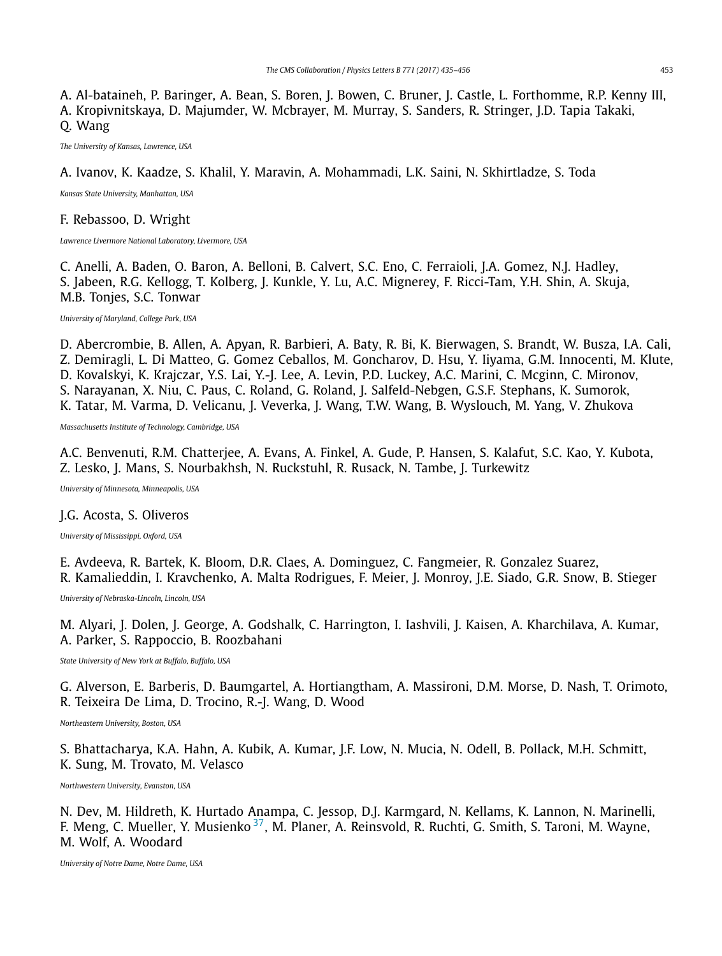A. Al-bataineh, P. Baringer, A. Bean, S. Boren, J. Bowen, C. Bruner, J. Castle, L. Forthomme, R.P. Kenny III, A. Kropivnitskaya, D. Majumder, W. Mcbrayer, M. Murray, S. Sanders, R. Stringer, J.D. Tapia Takaki, Q. Wang

*The University of Kansas, Lawrence, USA*

A. Ivanov, K. Kaadze, S. Khalil, Y. Maravin, A. Mohammadi, L.K. Saini, N. Skhirtladze, S. Toda

*Kansas State University, Manhattan, USA*

F. Rebassoo, D. Wright

*Lawrence Livermore National Laboratory, Livermore, USA*

C. Anelli, A. Baden, O. Baron, A. Belloni, B. Calvert, S.C. Eno, C. Ferraioli, J.A. Gomez, N.J. Hadley, S. Jabeen, R.G. Kellogg, T. Kolberg, J. Kunkle, Y. Lu, A.C. Mignerey, F. Ricci-Tam, Y.H. Shin, A. Skuja, M.B. Tonjes, S.C. Tonwar

*University of Maryland, College Park, USA*

D. Abercrombie, B. Allen, A. Apyan, R. Barbieri, A. Baty, R. Bi, K. Bierwagen, S. Brandt, W. Busza, I.A. Cali, Z. Demiragli, L. Di Matteo, G. Gomez Ceballos, M. Goncharov, D. Hsu, Y. Iiyama, G.M. Innocenti, M. Klute, D. Kovalskvi, K. Kraiczar, Y.S. Lai, Y.-J. Lee, A. Levin, P.D. Luckey, A.C. Marini, C. Mcginn, C. Mironov, S. Narayanan, X. Niu, C. Paus, C. Roland, G. Roland, J. Salfeld-Nebgen, G.S.F. Stephans, K. Sumorok, K. Tatar, M. Varma, D. Velicanu, J. Veverka, J. Wang, T.W. Wang, B. Wyslouch, M. Yang, V. Zhukova

*Massachusetts Institute of Technology, Cambridge, USA*

A.C. Benvenuti, R.M. Chatterjee, A. Evans, A. Finkel, A. Gude, P. Hansen, S. Kalafut, S.C. Kao, Y. Kubota, Z. Lesko, J. Mans, S. Nourbakhsh, N. Ruckstuhl, R. Rusack, N. Tambe, J. Turkewitz

*University of Minnesota, Minneapolis, USA*

#### J.G. Acosta, S. Oliveros

*University of Mississippi, Oxford, USA*

E. Avdeeva, R. Bartek, K. Bloom, D.R. Claes, A. Dominguez, C. Fangmeier, R. Gonzalez Suarez, R. Kamalieddin, I. Kravchenko, A. Malta Rodrigues, F. Meier, J. Monroy, J.E. Siado, G.R. Snow, B. Stieger

*University of Nebraska-Lincoln, Lincoln, USA*

M. Alyari, J. Dolen, J. George, A. Godshalk, C. Harrington, I. Iashvili, J. Kaisen, A. Kharchilava, A. Kumar, A. Parker, S. Rappoccio, B. Roozbahani

*State University of New York at Buffalo, Buffalo, USA*

G. Alverson, E. Barberis, D. Baumgartel, A. Hortiangtham, A. Massironi, D.M. Morse, D. Nash, T. Orimoto, R. Teixeira De Lima, D. Trocino, R.-J. Wang, D. Wood

*Northeastern University, Boston, USA*

S. Bhattacharya, K.A. Hahn, A. Kubik, A. Kumar, J.F. Low, N. Mucia, N. Odell, B. Pollack, M.H. Schmitt, K. Sung, M. Trovato, M. Velasco

*Northwestern University, Evanston, USA*

N. Dev, M. Hildreth, K. Hurtado Anampa, C. Jessop, D.J. Karmgard, N. Kellams, K. Lannon, N. Marinelli, F. Meng, C. Mueller, Y. Musienko [37](#page-20-0), M. Planer, A. Reinsvold, R. Ruchti, G. Smith, S. Taroni, M. Wayne, M. Wolf, A. Woodard

*University of Notre Dame, Notre Dame, USA*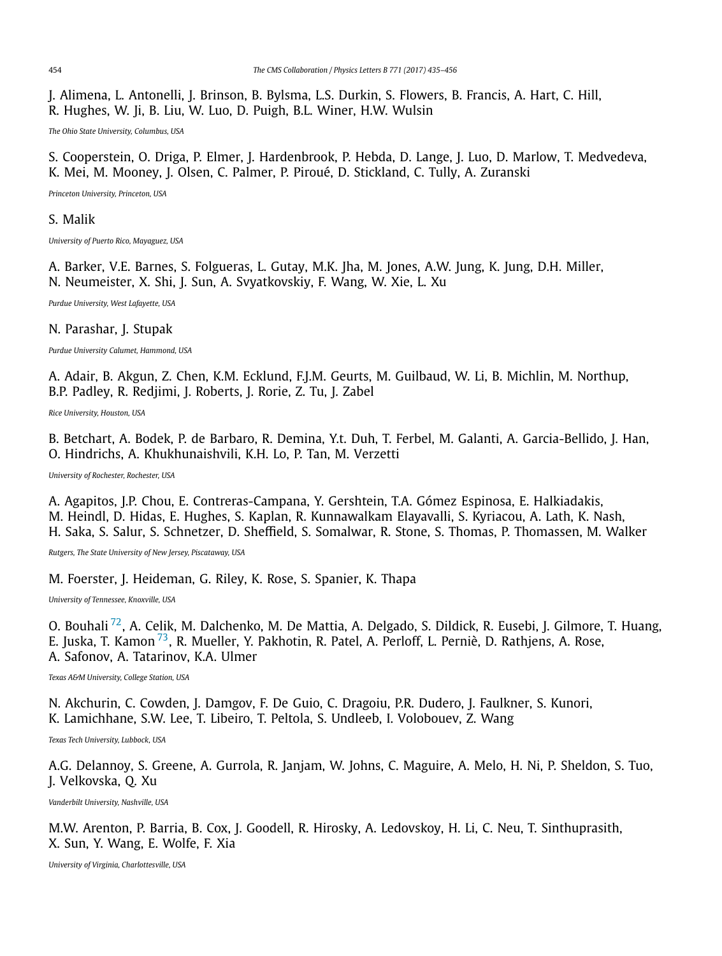J. Alimena, L. Antonelli, J. Brinson, B. Bylsma, L.S. Durkin, S. Flowers, B. Francis, A. Hart, C. Hill, R. Hughes, W. Ji, B. Liu, W. Luo, D. Puigh, B.L. Winer, H.W. Wulsin

*The Ohio State University, Columbus, USA*

S. Cooperstein, O. Driga, P. Elmer, J. Hardenbrook, P. Hebda, D. Lange, J. Luo, D. Marlow, T. Medvedeva, K. Mei, M. Mooney, J. Olsen, C. Palmer, P. Piroué, D. Stickland, C. Tully, A. Zuranski

*Princeton University, Princeton, USA*

#### S. Malik

*University of Puerto Rico, Mayaguez, USA*

A. Barker, V.E. Barnes, S. Folgueras, L. Gutay, M.K. Jha, M. Jones, A.W. Jung, K. Jung, D.H. Miller, N. Neumeister, X. Shi, J. Sun, A. Svyatkovskiy, F. Wang, W. Xie, L. Xu

*Purdue University, West Lafayette, USA*

#### N. Parashar, J. Stupak

*Purdue University Calumet, Hammond, USA*

A. Adair, B. Akgun, Z. Chen, K.M. Ecklund, F.J.M. Geurts, M. Guilbaud, W. Li, B. Michlin, M. Northup, B.P. Padley, R. Redjimi, J. Roberts, J. Rorie, Z. Tu, J. Zabel

*Rice University, Houston, USA*

B. Betchart, A. Bodek, P. de Barbaro, R. Demina, Y.t. Duh, T. Ferbel, M. Galanti, A. Garcia-Bellido, J. Han, O. Hindrichs, A. Khukhunaishvili, K.H. Lo, P. Tan, M. Verzetti

*University of Rochester, Rochester, USA*

A. Agapitos, J.P. Chou, E. Contreras-Campana, Y. Gershtein, T.A. Gómez Espinosa, E. Halkiadakis, M. Heindl, D. Hidas, E. Hughes, S. Kaplan, R. Kunnawalkam Elayavalli, S. Kyriacou, A. Lath, K. Nash, H. Saka, S. Salur, S. Schnetzer, D. Sheffield, S. Somalwar, R. Stone, S. Thomas, P. Thomassen, M. Walker

*Rutgers, The State University of New Jersey, Piscataway, USA*

M. Foerster, J. Heideman, G. Riley, K. Rose, S. Spanier, K. Thapa

*University of Tennessee, Knoxville, USA*

O. Bouhali [72,](#page-21-0) A. Celik, M. Dalchenko, M. De Mattia, A. Delgado, S. Dildick, R. Eusebi, J. Gilmore, T. Huang, E. Juska, T. Kamon [73,](#page-21-0) R. Mueller, Y. Pakhotin, R. Patel, A. Perloff, L. Perniè, D. Rathjens, A. Rose, A. Safonov, A. Tatarinov, K.A. Ulmer

*Texas A&M University, College Station, USA*

N. Akchurin, C. Cowden, J. Damgov, F. De Guio, C. Dragoiu, P.R. Dudero, J. Faulkner, S. Kunori, K. Lamichhane, S.W. Lee, T. Libeiro, T. Peltola, S. Undleeb, I. Volobouev, Z. Wang

*Texas Tech University, Lubbock, USA*

A.G. Delannoy, S. Greene, A. Gurrola, R. Janjam, W. Johns, C. Maguire, A. Melo, H. Ni, P. Sheldon, S. Tuo, J. Velkovska, Q. Xu

*Vanderbilt University, Nashville, USA*

M.W. Arenton, P. Barria, B. Cox, J. Goodell, R. Hirosky, A. Ledovskoy, H. Li, C. Neu, T. Sinthuprasith, X. Sun, Y. Wang, E. Wolfe, F. Xia

*University of Virginia, Charlottesville, USA*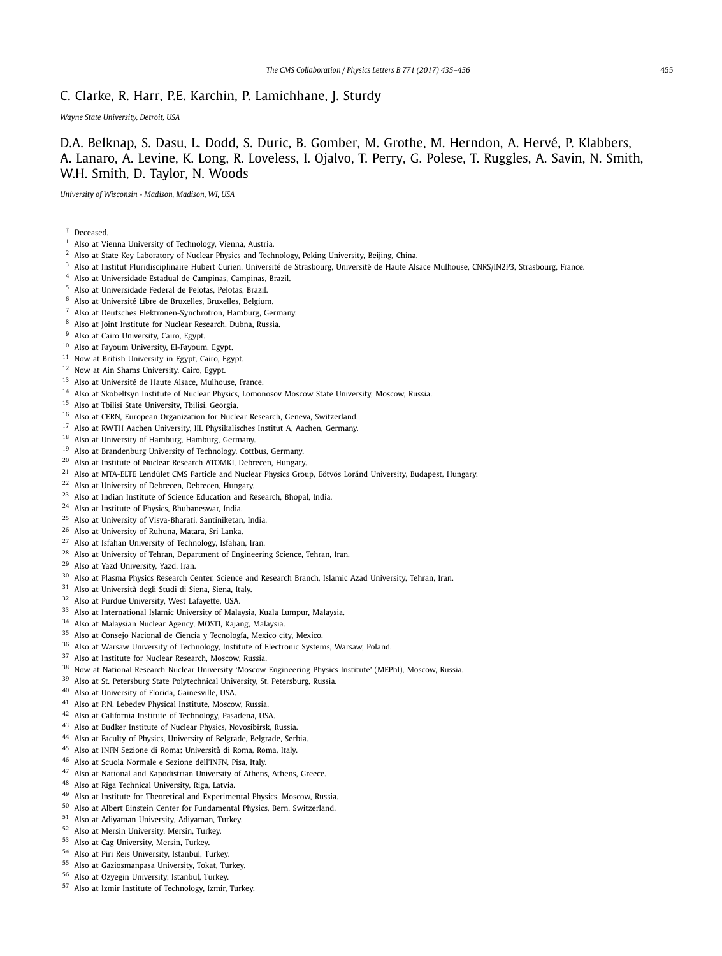# <span id="page-20-0"></span>C. Clarke, R. Harr, P.E. Karchin, P. Lamichhane, J. Sturdy

*Wayne State University, Detroit, USA*

D.A. Belknap, S. Dasu, L. Dodd, S. Duric, B. Gomber, M. Grothe, M. Herndon, A. Hervé, P. Klabbers, A. Lanaro, A. Levine, K. Long, R. Loveless, I. Ojalvo, T. Perry, G. Polese, T. Ruggles, A. Savin, N. Smith, W.H. Smith, D. Taylor, N. Woods

*University of Wisconsin - Madison, Madison, WI, USA*

† Deceased.

- <sup>1</sup> Also at Vienna University of Technology, Vienna, Austria.
- <sup>2</sup> Also at State Key Laboratory of Nuclear Physics and Technology, Peking University, Beijing, China.
- Also at Institut Pluridisciplinaire Hubert Curien, Université de Strasbourg, Université de Haute Alsace Mulhouse, CNRS/IN2P3, Strasbourg, France.
- Also at Universidade Estadual de Campinas, Campinas, Brazil.
- Also at Universidade Federal de Pelotas, Pelotas, Brazil.
- Also at Université Libre de Bruxelles, Bruxelles, Belgium.
- Also at Deutsches Elektronen-Synchrotron, Hamburg, Germany.
- Also at Joint Institute for Nuclear Research, Dubna, Russia.
- Also at Cairo University, Cairo, Egypt.
- Also at Fayoum University, El-Fayoum, Egypt.
- Now at British University in Egypt, Cairo, Egypt.
- Now at Ain Shams University, Cairo, Egypt.
- Also at Université de Haute Alsace, Mulhouse, France.
- Also at Skobeltsyn Institute of Nuclear Physics, Lomonosov Moscow State University, Moscow, Russia.
- Also at Tbilisi State University, Tbilisi, Georgia.
- Also at CERN, European Organization for Nuclear Research, Geneva, Switzerland.
- Also at RWTH Aachen University, III. Physikalisches Institut A, Aachen, Germany.
- Also at University of Hamburg, Hamburg, Germany.
- Also at Brandenburg University of Technology, Cottbus, Germany.
- Also at Institute of Nuclear Research ATOMKI, Debrecen, Hungary.
- Also at MTA-ELTE Lendület CMS Particle and Nuclear Physics Group, Eötvös Loránd University, Budapest, Hungary.
- Also at University of Debrecen, Debrecen, Hungary.
- Also at Indian Institute of Science Education and Research, Bhopal, India.
- Also at Institute of Physics, Bhubaneswar, India.
- Also at University of Visva-Bharati, Santiniketan, India.
- Also at University of Ruhuna, Matara, Sri Lanka.
- <sup>27</sup> Also at Isfahan University of Technology, Isfahan, Iran.
- Also at University of Tehran, Department of Engineering Science, Tehran, Iran.
- Also at Yazd University, Yazd, Iran.
- Also at Plasma Physics Research Center, Science and Research Branch, Islamic Azad University, Tehran, Iran.
- Also at Università degli Studi di Siena, Siena, Italy.
- Also at Purdue University, West Lafayette, USA.
- <sup>33</sup> Also at International Islamic University of Malaysia, Kuala Lumpur, Malaysia.<br><sup>34</sup> Also at Malaysian Nuclear Agency, MOSTL Kaing, Malaysia.
- Also at Malaysian Nuclear Agency, MOSTI, Kajang, Malaysia.
- Also at Consejo Nacional de Ciencia y Tecnología, Mexico city, Mexico.
- Also at Warsaw University of Technology, Institute of Electronic Systems, Warsaw, Poland.
- Also at Institute for Nuclear Research, Moscow, Russia.
- Now at National Research Nuclear University 'Moscow Engineering Physics Institute' (MEPhI), Moscow, Russia.
- Also at St. Petersburg State Polytechnical University, St. Petersburg, Russia.
- Also at University of Florida, Gainesville, USA.
- Also at P.N. Lebedev Physical Institute, Moscow, Russia.
- Also at California Institute of Technology, Pasadena, USA.
- Also at Budker Institute of Nuclear Physics, Novosibirsk, Russia.
- Also at Faculty of Physics, University of Belgrade, Belgrade, Serbia.
- Also at INFN Sezione di Roma; Università di Roma, Roma, Italy.
- Also at Scuola Normale e Sezione dell'INFN, Pisa, Italy.
- 47 Also at National and Kapodistrian University of Athens, Athens, Greece.
- Also at Riga Technical University, Riga, Latvia.
- Also at Institute for Theoretical and Experimental Physics, Moscow, Russia.
- Also at Albert Einstein Center for Fundamental Physics, Bern, Switzerland.
- Also at Adiyaman University, Adiyaman, Turkey.
- Also at Mersin University, Mersin, Turkey.
- Also at Cag University, Mersin, Turkey.
- Also at Piri Reis University, Istanbul, Turkey.
- Also at Gaziosmanpasa University, Tokat, Turkey.
- Also at Ozyegin University, Istanbul, Turkey.
- Also at Izmir Institute of Technology, Izmir, Turkey.